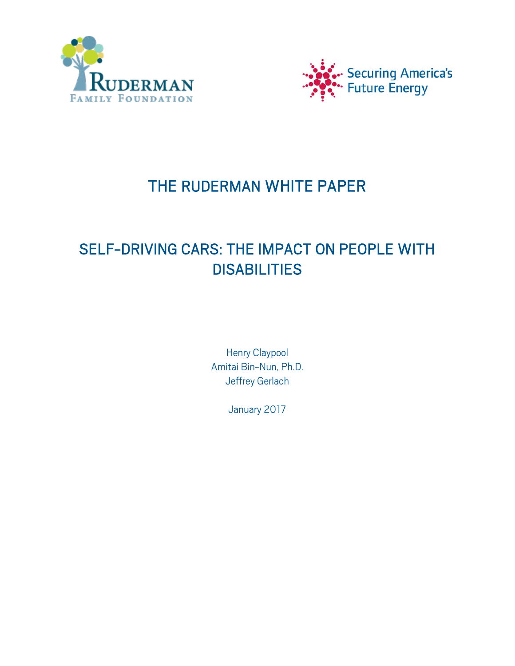



# THE RUDERMAN WHITE PAPER

# SELF-DRIVING CARS: THE IMPACT ON PEOPLE WITH **DISABILITIES**

Henry Claypool Amitai Bin-Nun, Ph.D. Jeffrey Gerlach

January 2017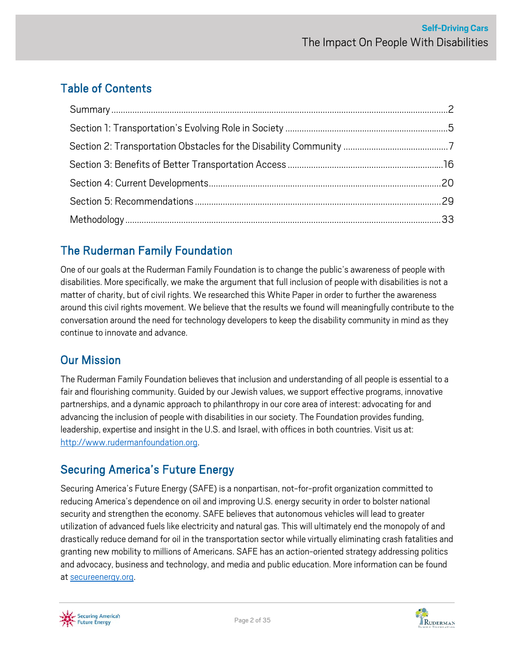# <span id="page-1-0"></span>Table of Contents

# The Ruderman Family Foundation

One of our goals at the Ruderman Family Foundation is to change the public's awareness of people with disabilities. More specifically, we make the argument that full inclusion of people with disabilities is not a matter of charity, but of civil rights. We researched this White Paper in order to further the awareness around this civil rights movement. We believe that the results we found will meaningfully contribute to the conversation around the need for technology developers to keep the disability community in mind as they continue to innovate and advance.

# Our Mission

The Ruderman Family Foundation believes that inclusion and understanding of all people is essential to a fair and flourishing community. Guided by our Jewish values, we support effective programs, innovative partnerships, and a dynamic approach to philanthropy in our core area of interest: advocating for and advancing the inclusion of people with disabilities in our society. The Foundation provides funding, leadership, expertise and insight in the U.S. and Israel, with offices in both countries. Visit us at: [http://www.rudermanfoundation.org.](http://www.rudermanfoundation.org/)

# Securing America's Future Energy

Securing America's Future Energy (SAFE) is a nonpartisan, not-for-profit organization committed to reducing America's dependence on oil and improving U.S. energy security in order to bolster national security and strengthen the economy. SAFE believes that autonomous vehicles will lead to greater utilization of advanced fuels like electricity and natural gas. This will ultimately end the monopoly of and drastically reduce demand for oil in the transportation sector while virtually eliminating crash fatalities and granting new mobility to millions of Americans. SAFE has an action-oriented strategy addressing politics and advocacy, business and technology, and media and public education. More information can be found a[t secureenergy.org.](http://secureenergy.org/)



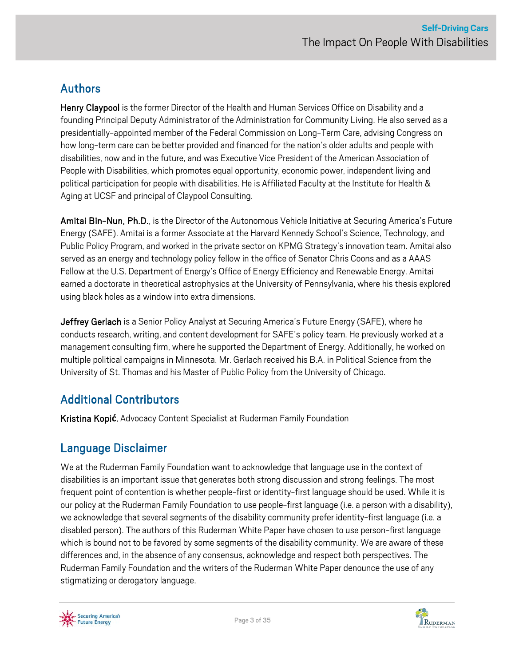# Authors

Henry Claypool is the former Director of the Health and Human Services Office on Disability and a founding Principal Deputy Administrator of the Administration for Community Living. He also served as a presidentially-appointed member of the Federal Commission on Long-Term Care, advising Congress on how long-term care can be better provided and financed for the nation's older adults and people with disabilities, now and in the future, and was Executive Vice President of the American Association of People with Disabilities, which promotes equal opportunity, economic power, independent living and political participation for people with disabilities. He is Affiliated Faculty at the Institute for Health & Aging at UCSF and principal of Claypool Consulting.

Amitai Bin-Nun, Ph.D., is the Director of the Autonomous Vehicle Initiative at Securing America's Future Energy (SAFE). Amitai is a former Associate at the Harvard Kennedy School's Science, Technology, and Public Policy Program, and worked in the private sector on KPMG Strategy's innovation team. Amitai also served as an energy and technology policy fellow in the office of Senator Chris Coons and as a AAAS Fellow at the U.S. Department of Energy's Office of Energy Efficiency and Renewable Energy. Amitai earned a doctorate in theoretical astrophysics at the University of Pennsylvania, where his thesis explored using black holes as a window into extra dimensions.

Jeffrey Gerlach is a Senior Policy Analyst at Securing America's Future Energy (SAFE), where he conducts research, writing, and content development for SAFE's policy team. He previously worked at a management consulting firm, where he supported the Department of Energy. Additionally, he worked on multiple political campaigns in Minnesota. Mr. Gerlach received his B.A. in Political Science from the University of St. Thomas and his Master of Public Policy from the University of Chicago.

# Additional Contributors

Kristina Kopi**ć**, Advocacy Content Specialist at Ruderman Family Foundation

### Language Disclaimer

We at the Ruderman Family Foundation want to acknowledge that language use in the context of disabilities is an important issue that generates both strong discussion and strong feelings. The most frequent point of contention is whether people-first or identity-first language should be used. While it is our policy at the Ruderman Family Foundation to use people-first language (i.e. a person with a disability), we acknowledge that several segments of the disability community prefer identity-first language (i.e. a disabled person). The authors of this Ruderman White Paper have chosen to use person-first language which is bound not to be favored by some segments of the disability community. We are aware of these differences and, in the absence of any consensus, acknowledge and respect both perspectives. The Ruderman Family Foundation and the writers of the Ruderman White Paper denounce the use of any stigmatizing or derogatory language.



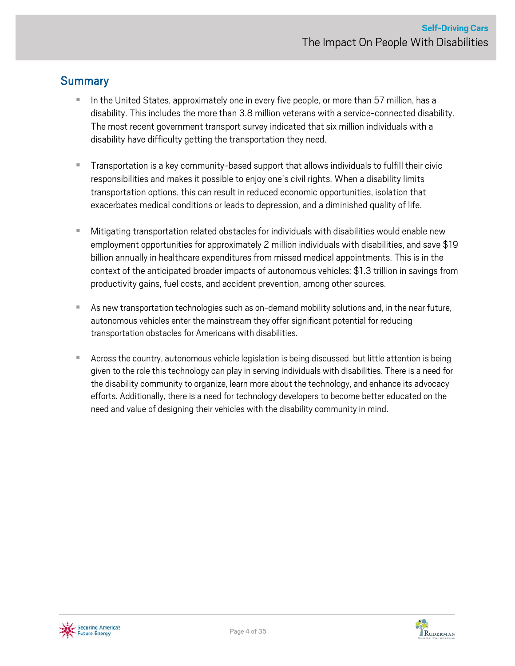### **Summary**

- In the United States, approximately one in every five people, or more than 57 million, has a disability. This includes the more than 3.8 million veterans with a service-connected disability. The most recent government transport survey indicated that six million individuals with a disability have difficulty getting the transportation they need.
- **Transportation is a key community-based support that allows individuals to fulfill their civic** responsibilities and makes it possible to enjoy one's civil rights. When a disability limits transportation options, this can result in reduced economic opportunities, isolation that exacerbates medical conditions or leads to depression, and a diminished quality of life.
- Mitigating transportation related obstacles for individuals with disabilities would enable new employment opportunities for approximately 2 million individuals with disabilities, and save \$19 billion annually in healthcare expenditures from missed medical appointments. This is in the context of the anticipated broader impacts of autonomous vehicles: \$1.3 trillion in savings from productivity gains, fuel costs, and accident prevention, among other sources.
- As new transportation technologies such as on-demand mobility solutions and, in the near future, autonomous vehicles enter the mainstream they offer significant potential for reducing transportation obstacles for Americans with disabilities.
- Across the country, autonomous vehicle legislation is being discussed, but little attention is being given to the role this technology can play in serving individuals with disabilities. There is a need for the disability community to organize, learn more about the technology, and enhance its advocacy efforts. Additionally, there is a need for technology developers to become better educated on the need and value of designing their vehicles with the disability community in mind.



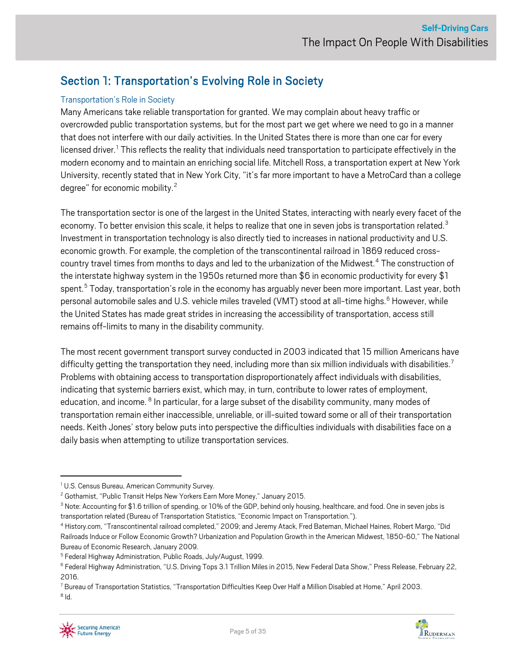# <span id="page-4-0"></span>Section 1: Transportation's Evolving Role in Society

#### Transportation's Role in Society

Many Americans take reliable transportation for granted. We may complain about heavy traffic or overcrowded public transportation systems, but for the most part we get where we need to go in a manner that does not interfere with our daily activities. In the United States there is more than one car for every licensed driver.<sup>[1](#page-4-1)</sup> This reflects the reality that individuals need transportation to participate effectively in the modern economy and to maintain an enriching social life. Mitchell Ross, a transportation expert at New York University, recently stated that in New York City, "it's far more important to have a MetroCard than a college degree" for economic mobility.<sup>[2](#page-4-2)</sup>

The transportation sector is one of the largest in the United States, interacting with nearly every facet of the economy. To better envision this scale, it helps to realize that one in seven jobs is transportation related.<sup>[3](#page-4-3)</sup> Investment in transportation technology is also directly tied to increases in national productivity and U.S. economic growth. For example, the completion of the transcontinental railroad in 1869 reduced cross-country travel times from months to days and led to the urbanization of the Midwest.<sup>[4](#page-4-4)</sup> The construction of the interstate highway system in the 1950s returned more than \$6 in economic productivity for every \$1 spent. [5](#page-4-5) Today, transportation's role in the economy has arguably never been more important. Last year, both personal automobile sales and U.S. vehicle miles traveled (VMT) stood at all-time highs. $^6$  $^6$  However, while the United States has made great strides in increasing the accessibility of transportation, access still remains off-limits to many in the disability community.

The most recent government transport survey conducted in 2003 indicated that 15 million Americans have difficulty getting the transportation they need, including more than six million individuals with disabilities.<sup>[7](#page-4-7)</sup> Problems with obtaining access to transportation disproportionately affect individuals with disabilities, indicating that systemic barriers exist, which may, in turn, contribute to lower rates of employment, education, and income. <sup>[8](#page-4-8)</sup> In particular, for a large subset of the disability community, many modes of transportation remain either inaccessible, unreliable, or ill-suited toward some or all of their transportation needs. Keith Jones' story below puts into perspective the difficulties individuals with disabilities face on a daily basis when attempting to utilize transportation services.



<span id="page-4-1"></span><sup>&</sup>lt;sup>1</sup> U.S. Census Bureau, American Community Survey.

<span id="page-4-2"></span><sup>&</sup>lt;sup>2</sup> Gothamist, "Public Transit Helps New Yorkers Earn More Money," January 2015.

<span id="page-4-3"></span><sup>&</sup>lt;sup>3</sup> Note: Accounting for \$1.6 trillion of spending, or 10% of the GDP, behind only housing, healthcare, and food. One in seven jobs is transportation related (Bureau of Transportation Statistics, "Economic Impact on Transportation.").

<span id="page-4-4"></span><sup>4</sup> History.com, "Transcontinental railroad completed," 2009; and Jeremy Atack, Fred Bateman, Michael Haines, Robert Margo, "Did Railroads Induce or Follow Economic Growth? Urbanization and Population Growth in the American Midwest, 1850-60," The National Bureau of Economic Research, January 2009.

<span id="page-4-5"></span><sup>5</sup> Federal Highway Administration, Public Roads, July/August, 1999.

<span id="page-4-6"></span><sup>6</sup> Federal Highway Administration, "U.S. Driving Tops 3.1 Trillion Miles in 2015, New Federal Data Show," Press Release, February 22, 2016.

<span id="page-4-8"></span><span id="page-4-7"></span><sup>7</sup> Bureau of Transportation Statistics, "Transportation Difficulties Keep Over Half a Million Disabled at Home," April 2003.  $8$  Id.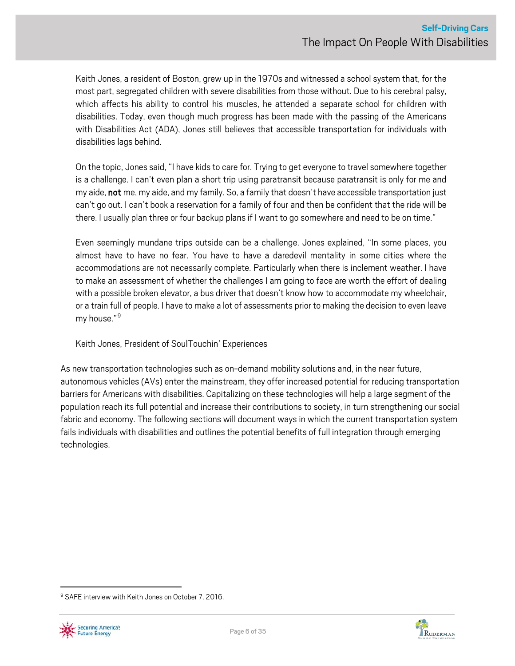Keith Jones, a resident of Boston, grew up in the 1970s and witnessed a school system that, for the most part, segregated children with severe disabilities from those without. Due to his cerebral palsy, which affects his ability to control his muscles, he attended a separate school for children with disabilities. Today, even though much progress has been made with the passing of the Americans with Disabilities Act (ADA), Jones still believes that accessible transportation for individuals with disabilities lags behind.

On the topic, Jones said, "I have kids to care for. Trying to get everyone to travel somewhere together is a challenge. I can't even plan a short trip using paratransit because paratransit is only for me and my aide, not me, my aide, and my family. So, a family that doesn't have accessible transportation just can't go out. I can't book a reservation for a family of four and then be confident that the ride will be there. I usually plan three or four backup plans if I want to go somewhere and need to be on time."

Even seemingly mundane trips outside can be a challenge. Jones explained, "In some places, you almost have to have no fear. You have to have a daredevil mentality in some cities where the accommodations are not necessarily complete. Particularly when there is inclement weather. I have to make an assessment of whether the challenges I am going to face are worth the effort of dealing with a possible broken elevator, a bus driver that doesn't know how to accommodate my wheelchair, or a train full of people. I have to make a lot of assessments prior to making the decision to even leave my house."<sup>[9](#page-5-0)</sup>

Keith Jones, President of SoulTouchin' Experiences

As new transportation technologies such as on-demand mobility solutions and, in the near future, autonomous vehicles (AVs) enter the mainstream, they offer increased potential for reducing transportation barriers for Americans with disabilities. Capitalizing on these technologies will help a large segment of the population reach its full potential and increase their contributions to society, in turn strengthening our social fabric and economy. The following sections will document ways in which the current transportation system fails individuals with disabilities and outlines the potential benefits of full integration through emerging technologies.

<span id="page-5-0"></span><sup>&</sup>lt;sup>9</sup> SAFE interview with Keith Jones on October 7, 2016.



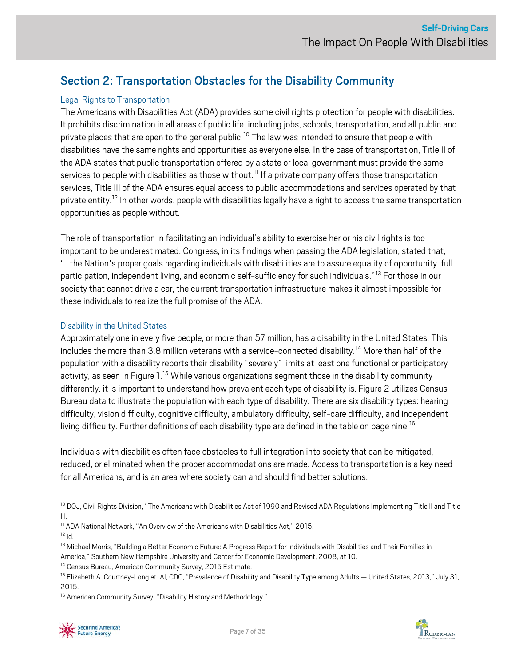# <span id="page-6-0"></span>Section 2: Transportation Obstacles for the Disability Community

### Legal Rights to Transportation

The Americans with Disabilities Act (ADA) provides some civil rights protection for people with disabilities. It prohibits discrimination in all areas of public life, including jobs, schools, transportation, and all public and private places that are open to the general public.<sup>[10](#page-6-1)</sup> The law was intended to ensure that people with disabilities have the same rights and opportunities as everyone else. In the case of transportation, Title II of the ADA states that public transportation offered by a state or local government must provide the same services to people with disabilities as those without.<sup>[11](#page-6-2)</sup> If a private company offers those transportation services, Title III of the ADA ensures equal access to public accommodations and services operated by that private entity.<sup>[12](#page-6-3)</sup> In other words, people with disabilities legally have a right to access the same transportation opportunities as people without.

The role of transportation in facilitating an individual's ability to exercise her or his civil rights is too important to be underestimated. Congress, in its findings when passing the ADA legislation, stated that, "…the Nation's proper goals regarding individuals with disabilities are to assure equality of opportunity, full participation, independent living, and economic self-sufficiency for such individuals."<sup>[13](#page-6-4)</sup> For those in our society that cannot drive a car, the current transportation infrastructure makesit almost impossible for these individuals to realize the full promise of the ADA.

#### Disability in the United States

Approximately one in every five people, or more than 57 million, has a disability in the United States. This includes the more than 3.8 million veterans with a service-connected disability.<sup>[14](#page-6-5)</sup> More than half of the population with a disability reports their disability"severely" limits at least one functional or participatory activity, as seen in Figure 1.<sup>[15](#page-6-6)</sup> While various organizations segment those in the disability community differently, it is important to understand how prevalent each type of disability is. Figure 2 utilizes Census Bureau data to illustrate the population with each type of disability. There are six disability types: hearing difficulty, vision difficulty, cognitive difficulty, ambulatory difficulty, self-care difficulty, and independent living difficulty. Further definitions of each disability type are defined in the table on page nine.<sup>[16](#page-6-7)</sup>

Individuals with disabilities often face obstacles to full integration into society that can be mitigated, reduced, or eliminated when the proper accommodations are made. Access to transportation is a key need for all Americans, and is an area where society can and should find better solutions.

- <span id="page-6-2"></span><sup>11</sup> ADA National Network, "An Overview of the Americans with Disabilities Act," 2015.
- <span id="page-6-3"></span> $12$  Id.



<span id="page-6-1"></span><sup>&</sup>lt;sup>10</sup> DOJ, Civil Rights Division, "The Americans with Disabilities Act of 1990 and Revised ADA Regulations Implementing Title II and Title III.

<span id="page-6-4"></span><sup>&</sup>lt;sup>13</sup> Michael Morris, "Building a Better Economic Future: A Progress Report for Individuals with Disabilities and Their Families in America," Southern New Hampshire University and Center for Economic Development, 2008, at 10.

<span id="page-6-5"></span>

<span id="page-6-6"></span><sup>&</sup>lt;sup>14</sup> Census Bureau, American Community Survey, 2015 Estimate.<br><sup>15</sup> Elizabeth A. Courtney-Long et. Al, CDC, "Prevalence of Disability and Disability Type among Adults — United States, 2013," July 31, 2015.

<span id="page-6-7"></span><sup>&</sup>lt;sup>16</sup> American Community Survey, "Disability History and Methodology."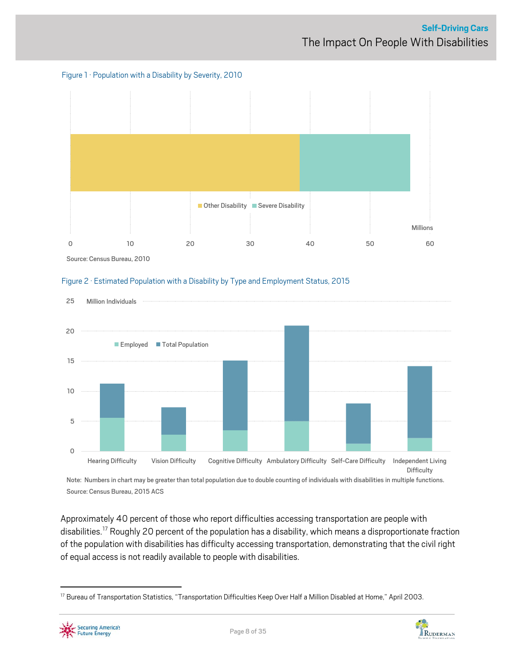







Note: Numbers in chart may be greater than total population due to double counting of individuals with disabilities in multiple functions. Source: Census Bureau, 2015 ACS

Approximately 40 percent of those who report difficulties accessing transportation are people with disabilities.<sup>[17](#page-7-0)</sup> Roughly 20 percent of the population has a disability, which means a disproportionate fraction of the population with disabilities has difficulty accessing transportation, demonstrating that the civil right of equal access is not readily available to people with disabilities.

<span id="page-7-0"></span><sup>&</sup>lt;sup>17</sup> Bureau of Transportation Statistics, "Transportation Difficulties Keep Over Half a Million Disabled at Home," April 2003.



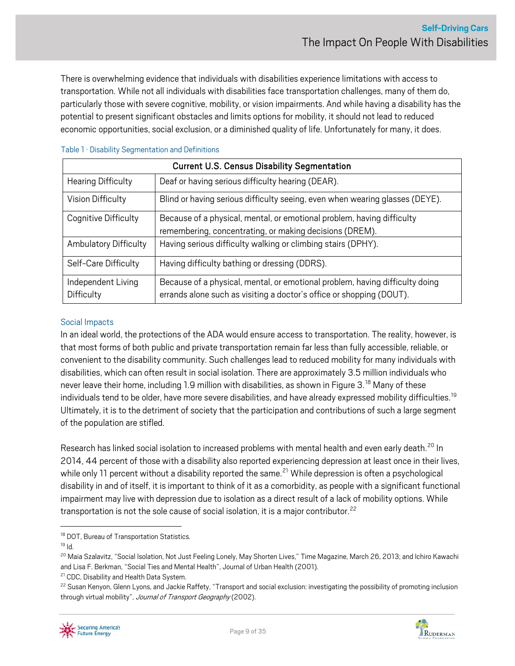There is overwhelming evidence that individuals with disabilities experience limitations with access to transportation. While not all individuals with disabilities face transportation challenges, many of them do, particularly those with severe cognitive, mobility, or vision impairments. And while having a disability has the potential to present significant obstacles and limits options for mobility, it should not lead to reduced economic opportunities, social exclusion, or a diminished quality of life. Unfortunately for many, it does.

#### Table 1 · Disability Segmentation and Definitions

| <b>Current U.S. Census Disability Segmentation</b> |                                                                                                                                                      |  |  |
|----------------------------------------------------|------------------------------------------------------------------------------------------------------------------------------------------------------|--|--|
| <b>Hearing Difficulty</b>                          | Deaf or having serious difficulty hearing (DEAR).                                                                                                    |  |  |
| Vision Difficulty                                  | Blind or having serious difficulty seeing, even when wearing glasses (DEYE).                                                                         |  |  |
| Cognitive Difficulty                               | Because of a physical, mental, or emotional problem, having difficulty<br>remembering, concentrating, or making decisions (DREM).                    |  |  |
| <b>Ambulatory Difficulty</b>                       | Having serious difficulty walking or climbing stairs (DPHY).                                                                                         |  |  |
| Self-Care Difficulty                               | Having difficulty bathing or dressing (DDRS).                                                                                                        |  |  |
| Independent Living<br>Difficulty                   | Because of a physical, mental, or emotional problem, having difficulty doing<br>errands alone such as visiting a doctor's office or shopping (DOUT). |  |  |

#### Social Impacts

In an ideal world, the protections of the ADA would ensure access to transportation. The reality, however, is that most forms of both public and private transportation remain far less than fully accessible, reliable, or convenient to the disability community. Such challenges lead to reduced mobility for manyindividuals with disabilities, which can often result in social isolation. There are approximately 3.5 million individuals who never leave their home, including 1.9 million with disabilities, as shown in Figure 3.<sup>[18](#page-8-0)</sup> Many of these individuals tend to be older, have more severe disabilities, and have already expressed mobility difficulties. [19](#page-8-1) Ultimately, it is to the detriment of society that the participation and contributions of such a large segment of the population are stifled.

Research has linked social isolation to increased problems with mental health and even early death.<sup>[20](#page-8-2)</sup> In 2014, 44 percent of those with a disability also reported experiencing depression at least once in their lives, while only 11 percent without a disability reported the same.<sup>[21](#page-8-3)</sup> While depression is often a psychological disability in and of itself, it is important to think of it as a comorbidity, as people with a significant functional impairment may live with depression due to isolation as a direct result of a lack of mobility options. While transportation is not the sole cause of social isolation, it is a major contributor.<sup>[22](#page-8-4)</sup>



<span id="page-8-0"></span><sup>&</sup>lt;sup>18</sup> DOT, Bureau of Transportation Statistics.

<span id="page-8-1"></span> $19$  Id.

<span id="page-8-2"></span><sup>&</sup>lt;sup>20</sup> Maia Szalavitz, "Social Isolation, Not Just Feeling Lonely, May Shorten Lives," Time Magazine, March 26, 2013; and Ichiro Kawachi and Lisa F. Berkman, "Social Ties and Mental Health", Journal of Urban Health (2001).

<span id="page-8-3"></span><sup>&</sup>lt;sup>21</sup> CDC, Disability and Health Data System.

<span id="page-8-4"></span><sup>&</sup>lt;sup>22</sup> Susan Kenyon, Glenn Lyons, and Jackie Raffety, "Transport and social exclusion: investigating the possibility of promoting inclusion through virtual mobility", Journal of Transport Geography (2002).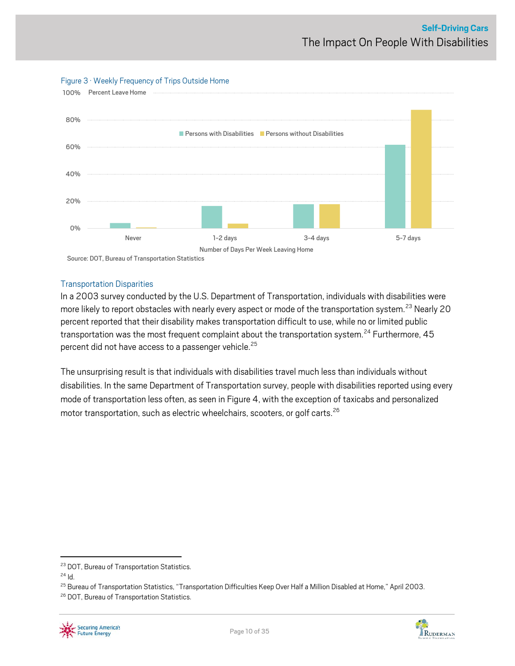

#### Figure 3 · Weekly Frequency of Trips Outside Home

Transportation Disparities

In a 2003 survey conducted by the U.S. Department of Transportation, individuals with disabilities were more likely to report obstacles with nearly every aspect or mode of the transportation system.<sup>[23](#page-9-0)</sup> Nearly 20 percent reported that their disability makes transportation difficult to use, while no or limited public transportation was the most frequent complaint about the transportation system.<sup>[24](#page-9-1)</sup> Furthermore, 45 percent did not have access to a passenger vehicle.<sup>[25](#page-9-2)</sup>

The unsurprising result is that individuals with disabilities travel much less than individuals without disabilities. In the same Department of Transportation survey, people with disabilities reported using every mode of transportation less often, as seen in Figure 4, with the exception of taxicabs and personalized motor transportation, such as electric wheelchairs, scooters, or golf carts. [26](#page-9-3)



<span id="page-9-0"></span><sup>&</sup>lt;sup>23</sup> DOT, Bureau of Transportation Statistics.

<span id="page-9-1"></span><sup>24</sup> Id.

<span id="page-9-2"></span><sup>&</sup>lt;sup>25</sup> Bureau of Transportation Statistics, "Transportation Difficulties Keep Over Half a Million Disabled at Home," April 2003.

<span id="page-9-3"></span><sup>&</sup>lt;sup>26</sup> DOT, Bureau of Transportation Statistics.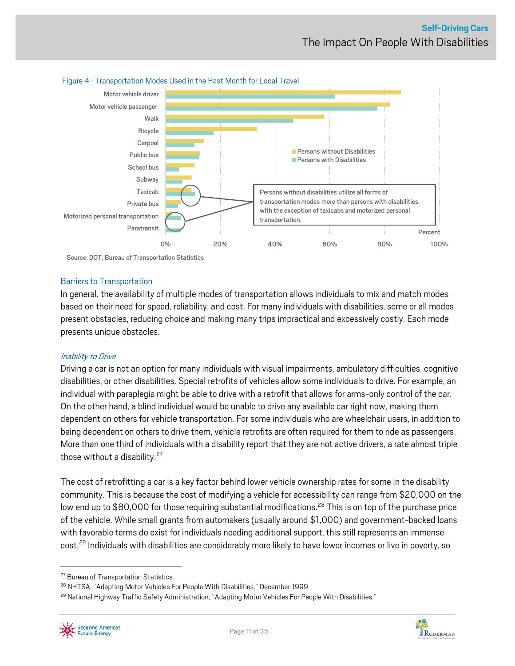

#### Figure 4 · Transportation Modes Used in the Past Month for Local Travel

Barriers to Transportation

In general, the availability of multiple modes of transportation allowsindividuals to mix and match modes based on their need for speed, reliability, and cost. For many individuals with disabilities, some or all modes present obstacles, reducing choice and making many trips impractical and excessively costly. Each mode presents unique obstacles.

#### Inability to Drive

Driving a car is not an option for manyindividuals with visual impairments, ambulatory difficulties, cognitive disabilities, or other disabilities. Special retrofits of vehicles allow some individuals to drive. For example, an individual with paraplegia might be able to drive with a retrofit that allows for arms-only control of the car. On the other hand, a blind individual would be unable to drive any available car right now, making them dependent on others for vehicle transportation. For some individuals who are wheelchair users, in addition to being dependent on others to drive them, vehicle retrofits are often required for them to ride as passengers. More than one third of individuals with a disability report that they are not active drivers, a rate almost triple those without a disability. $27$ 

The cost of retrofitting a car is a key factor behind lower vehicle ownership rates for some in the disability community. This is because the cost of modifying a vehicle for accessibility can range from \$20,000 on the low end up to \$80,000 for those requiring substantial modifications.<sup>[28](#page-10-1)</sup> This is on top of the purchase price of the vehicle. While small grants from automakers (usually around \$1,000) and government-backed loans with favorable terms do exist for individuals needing additional support, this still represents an immense cost.<sup>[29](#page-10-2)</sup> Individuals with disabilities are considerably more likely to have lower incomes or live in poverty, so

<span id="page-10-2"></span><span id="page-10-1"></span><sup>&</sup>lt;sup>29</sup> National Highway Traffic Safety Administration, "Adapting Motor Vehicles For People With Disabilities."





<span id="page-10-0"></span><sup>&</sup>lt;sup>27</sup> Bureau of Transportation Statistics.

<sup>&</sup>lt;sup>28</sup> NHTSA, "Adapting Motor Vehicles For People With Disabilities," December 1999.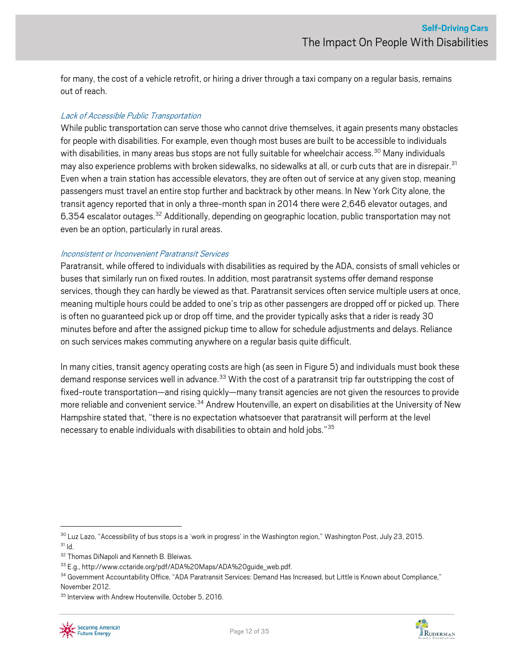for many, the cost of a vehicle retrofit, or hiring a driver through a taxi company on a regular basis, remains out of reach.

#### Lack of Accessible Public Transportation

While public transportation can serve those who cannot drive themselves, it again presents many obstacles for people with disabilities. For example, even though most buses are built to be accessible to individuals with disabilities, in many areas bus stops are not fully suitable for wheelchair access.<sup>[30](#page-11-0)</sup> Many individuals may also experience problems with broken sidewalks, no sidewalks at all, or curb cuts that are in disrepair.<sup>[31](#page-11-1)</sup> Even when a train station has accessible elevators, they are often out of service at any given stop, meaning passengers must travel an entire stop further and backtrack by other means. In New York City alone, the transit agency reported that in only a three-month span in 2014 there were 2,646 elevator outages, and 6,354 escalator outages.<sup>[32](#page-11-2)</sup> Additionally, depending on geographic location, public transportation may not even be an option, particularly in rural areas.

#### Inconsistent or Inconvenient Paratransit Services

Paratransit, while offered to individuals with disabilities as required by the ADA, consists of small vehicles or buses that similarly run on fixed routes. In addition, most paratransit systems offer demand response services, though they can hardly be viewed as that. Paratransit services often service multiple users at once, meaning multiple hours could be added to one's trip as other passengers are dropped off or picked up. There is often no guaranteed pick up or drop off time, and the provider typically asks that a rider is ready 30 minutes before and after the assigned pickup time to allow for schedule adjustments and delays. Reliance on such services makes commuting anywhere on a regular basis quite difficult.

In many cities, transit agency operating costs are high (as seen in Figure 5) and individuals must book these demand response services well in advance.<sup>[33](#page-11-3)</sup> With the cost of a paratransit trip far outstripping the cost of fixed-route transportation—and rising quickly—many transit agencies are not given the resources to provide more reliable and convenient service.<sup>[34](#page-11-4)</sup> Andrew Houtenville, an expert on disabilities at the University of New Hampshire stated that, "there is no expectation whatsoever that paratransit will perform at the level necessary to enable individuals with disabilities to obtain and hold jobs."[35](#page-11-5)



<span id="page-11-1"></span><span id="page-11-0"></span><sup>&</sup>lt;sup>30</sup> Luz Lazo, "Accessibility of bus stops is a 'work in progress' in the Washington region," Washington Post, July 23, 2015.  $31$  Id.

<span id="page-11-2"></span><sup>32</sup> Thomas DiNapoli and Kenneth B. Bleiwas.

<span id="page-11-3"></span><sup>33</sup> E.g., http://www.cctaride.org/pdf/ADA%20Maps/ADA%20guide\_web.pdf.

<span id="page-11-4"></span><sup>34</sup> Government Accountability Office, "ADA Paratransit Services: Demand Has Increased, but Little is Known about Compliance," November 2012.

<span id="page-11-5"></span><sup>&</sup>lt;sup>35</sup> Interview with Andrew Houtenville, October 5, 2016.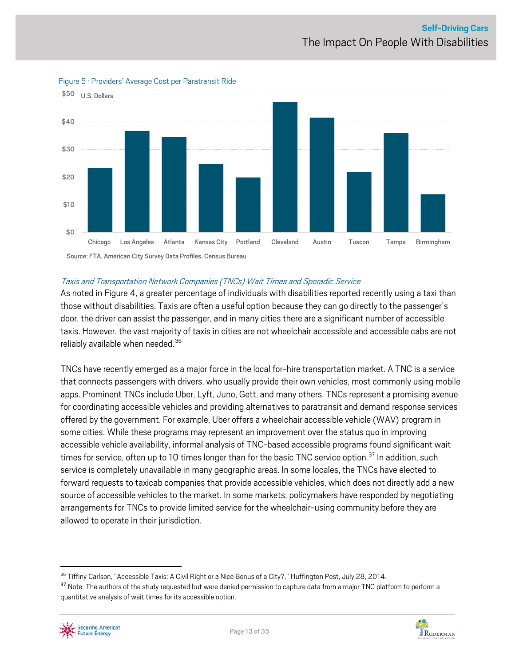

Figure 5 · Providers' Average Cost per Paratransit Ride

#### Taxis and Transportation Network Companies(TNCs) Wait Times and Sporadic Service

As noted in Figure 4, a greater percentage of individuals with disabilities reported recently using a taxi than those without disabilities. Taxis are often a useful option because they can go directly to the passenger's door, the driver can assist the passenger, and in many cities there are a significant number of accessible taxis. However, the vast majority of taxis in cities are not wheelchair accessible and accessible cabs are not reliably available when needed. [36](#page-12-0)

TNCs have recently emerged as a major force in the local for-hire transportation market. A TNC is a service that connects passengers with drivers, who usually provide their own vehicles, most commonly using mobile apps. Prominent TNCs include Uber, Lyft, Juno, Gett, and many others. TNCs represent a promising avenue for coordinating accessible vehicles and providing alternatives to paratransit and demand response services offered by the government. For example, Uber offers a wheelchair accessible vehicle (WAV) program in some cities. While these programs may represent an improvement over the status quo in improving accessible vehicle availability, informal analysis of TNC-based accessible programs found significant wait times for service, often up to 10 times longer than for the basic TNC service option.<sup>[37](#page-12-1)</sup> In addition, such service is completely unavailable in many geographic areas. In some locales, the TNCs have elected to forward requests to taxicab companies that provide accessible vehicles, which does not directly add a new source of accessible vehicles to the market. In some markets, policymakers have responded by negotiating arrangements for TNCs to provide limited service for the wheelchair-using community before they are allowed to operate in their jurisdiction.

<span id="page-12-1"></span><sup>&</sup>lt;sup>37</sup> Note: The authors of the study requested but were denied permission to capture data from a major TNC platform to perform a quantitative analysis of wait times for its accessible option.



<span id="page-12-0"></span><sup>&</sup>lt;sup>36</sup> Tiffiny Carlson, "Accessible Taxis: A Civil Right or a Nice Bonus of a City?," Huffington Post, July 28, 2014.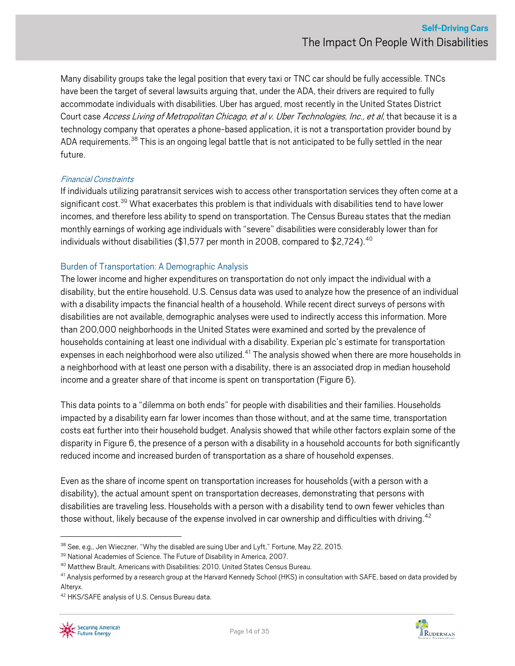Many disability groups take the legal position that every taxi or TNC car should be fully accessible. TNCs have been the target of several lawsuits arguing that, under the ADA, their drivers are required to fully accommodate individuals with disabilities. Uber has argued, most recently in the United States District Court case Access Living of Metropolitan Chicago, et al v. Uber Technologies, Inc., et al, that because it is a technology company that operates a phone-based application, it is not a transportation provider bound by ADA requirements.<sup>[38](#page-13-0)</sup> This is an ongoing legal battle that is not anticipated to be fully settled in the near future.

#### Financial Constraints

If individuals utilizing paratransit services wish to access other transportation services they often come at a significant cost.<sup>[39](#page-13-1)</sup> What exacerbates this problem is that individuals with disabilities tend to have lower incomes, and therefore less ability to spend on transportation. The Census Bureau states that the median monthly earnings of working age individuals with "severe" disabilities were considerably lower than for individuals without disabilities (\$1,577 per month in 2008, compared to \$2,724). $^{40}$  $^{40}$  $^{40}$ 

#### Burden of Transportation: A Demographic Analysis

The lower income and higher expenditures on transportation do not only impact the individual with a disability, but the entire household. U.S. Census data was used to analyze how the presence of an individual with a disability impacts the financial health of a household. While recent direct surveys of persons with disabilities are not available, demographic analyses were used to indirectly access this information. More than 200,000 neighborhoods in the United States were examined and sorted by the prevalence of households containing at least one individual with a disability. Experian plc's estimate for transportation expenses in each neighborhood were also utilized.<sup>[41](#page-13-3)</sup> The analysis showed when there are more households in a neighborhood with at least one person with a disability, there is an associated drop in median household income and a greater share of that income is spent on transportation (Figure 6).

This data points to a "dilemma on both ends" for people with disabilities and their families. Households impacted by a disability earn far lower incomes than those without, and at the same time, transportation costs eat further into their household budget. Analysis showed that while other factors explain some of the disparity in Figure 6, the presence of a person with a disability in a household accounts for both significantly reduced income and increased burden of transportation as a share of household expenses.

Even as the share of income spent on transportation increases for households (with a person with a disability), the actual amount spent on transportation decreases, demonstrating that persons with disabilities are traveling less. Households with a person with a disability tend to own fewer vehicles than those without, likely because of the expense involved in car ownership and difficulties with driving.<sup>[42](#page-13-4)</sup>

<span id="page-13-4"></span><sup>42</sup> HKS/SAFE analysis of U.S. Census Bureau data.





<span id="page-13-0"></span> $38$  See, e.g., Jen Wieczner, "Why the disabled are suing Uber and Lyft," Fortune, May 22, 2015.<br> $39$  National Academies of Science. The Future of Disability in America, 2007.

<span id="page-13-1"></span>

<span id="page-13-2"></span><sup>40</sup> Matthew Brault, Americans with Disabilities: 2010. United States Census Bureau.

<span id="page-13-3"></span><sup>&</sup>lt;sup>41</sup> Analysis performed by a research group at the Harvard Kennedy School (HKS) in consultation with SAFE, based on data provided by Alteryx.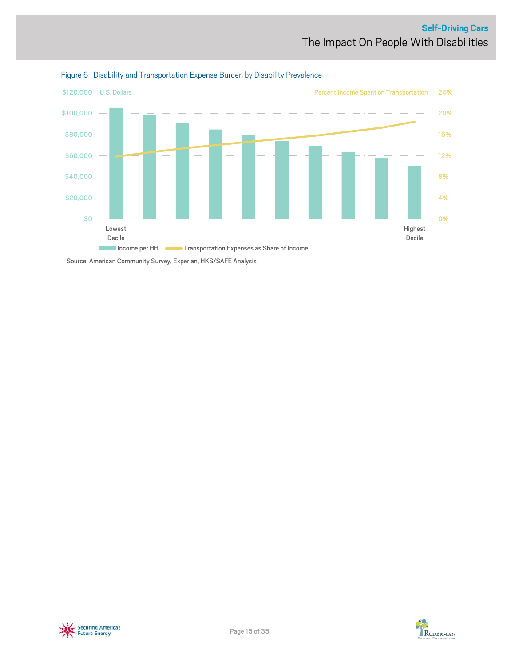



Source: American Community Survey, Experian, HKS/SAFE Analysis



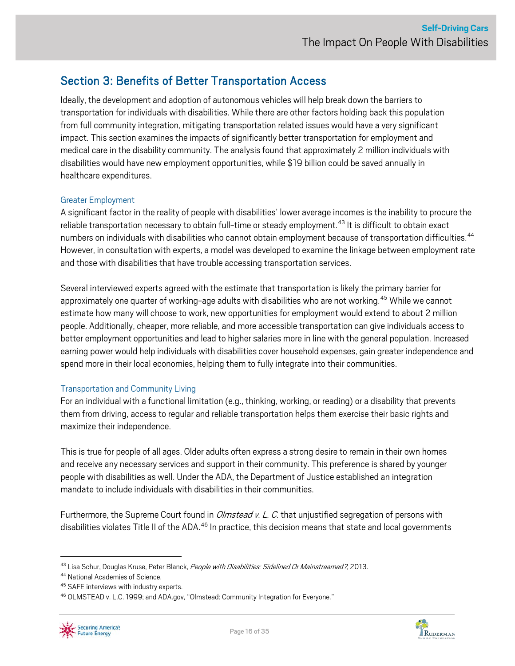## <span id="page-15-0"></span>Section 3: Benefits of Better Transportation Access

Ideally, the development and adoption of autonomous vehicles will help break down the barriers to transportation for individuals with disabilities. While there are other factors holding back this population from full community integration, mitigating transportation related issues would have a very significant impact. This section examines the impacts of significantly better transportation for employment and medical care in the disability community. The analysis found that approximately 2 million individuals with disabilities would have new employment opportunities, while \$19 billion could be saved annually in healthcare expenditures.

#### Greater Employment

A significant factor in the reality of people with disabilities' lower average incomesisthe inability to procure the reliable transportation necessary to obtain full-time or steady employment.<sup>[43](#page-15-1)</sup> It is difficult to obtain exact numbers on individuals with disabilities who cannot obtain employment because of transportation difficulties.<sup>[44](#page-15-2)</sup> However, in consultation with experts, a model was developed to examine the linkage between employment rate and those with disabilities that have trouble accessing transportation services.

Several interviewed experts agreed with the estimate that transportation is likely the primary barrier for approximately one quarter of working-age adults with disabilities who are not working.<sup>[45](#page-15-3)</sup> While we cannot estimate how many will choose to work, new opportunities for employment would extend to about 2 million people. Additionally, cheaper, more reliable, and more accessible transportation can give individuals access to better employment opportunities and lead to higher salaries more in line with the general population. Increased earning power would help individuals with disabilities cover household expenses, gain greater independence and spend more in their local economies, helping them to fully integrate into their communities.

#### Transportation and Community Living

For an individual with a functional limitation (e.g., thinking, working, or reading) or a disability that prevents them from driving, access to regular and reliable transportation helps them exercise their basic rights and maximize their independence.

This is true for people of all ages. Older adults often express a strong desire to remain in their own homes and receive any necessary services and support in their community. This preference is shared by younger people with disabilities as well. Under the ADA, the Department of Justice established an integration mandate to include individuals with disabilities in their communities.

Furthermore, the Supreme Court found in *Olmstead v. L. C.* that unjustified segregation of persons with disabilities violates Title II of the ADA.<sup>[46](#page-15-4)</sup> In practice, this decision means that state and local governments

<span id="page-15-4"></span><span id="page-15-3"></span><sup>46</sup> OLMSTEAD v. L.C. 1999; and ADA.gov, "Olmstead: Community Integration for Everyone."





<span id="page-15-1"></span><sup>&</sup>lt;sup>43</sup> Lisa Schur, Douglas Kruse, Peter Blanck, *People with Disabilities: Sidelined Or Mainstreamed?*, 2013.

<span id="page-15-2"></span><sup>44</sup> National Academies of Science.

<sup>45</sup> SAFE interviews with industry experts.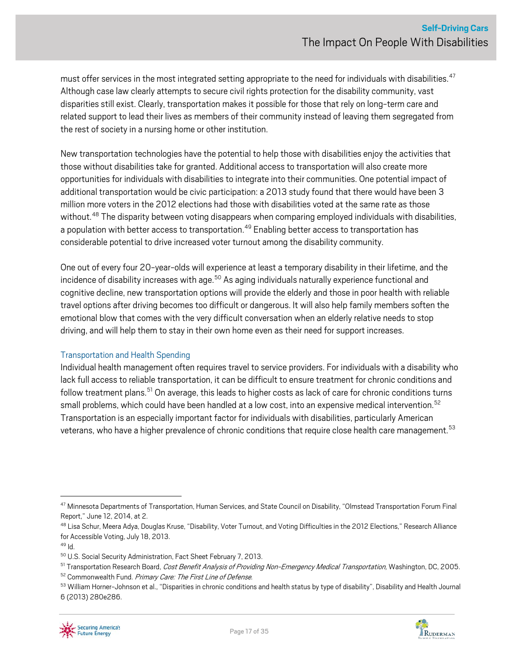must offer services in the most integrated setting appropriate to the need for individuals with disabilities.<sup>[47](#page-16-0)</sup> Although case law clearly attempts to secure civil rights protection for the disability community, vast disparities still exist. Clearly, transportation makesit possible for those that rely on long-term care and related support to lead their lives as members of their community instead of leaving them segregated from the rest of society in a nursing home or other institution.

New transportation technologies have the potential to help those with disabilities enjoy the activities that those without disabilities take for granted. Additional access to transportation will also create more opportunities for individuals with disabilities to integrate into their communities. One potential impact of additional transportation would be civic participation: a 2013 study found that there would have been 3 million more voters in the 2012 elections had those with disabilities voted at the same rate as those without.<sup>[48](#page-16-1)</sup> The disparity between voting disappears when comparing employed individuals with disabilities, a population with better access to transportation.<sup>[49](#page-16-2)</sup> Enabling better access to transportation has considerable potential to drive increased voter turnout among the disability community.

One out of every four 20-year-olds will experience at least a temporary disability in their lifetime, and the incidence of disability increases with age.<sup>[50](#page-16-3)</sup> As aging individuals naturally experience functional and cognitive decline, new transportation options will provide the elderly and those in poor health with reliable travel options after driving becomes too difficult or dangerous. It will also help family members soften the emotional blow that comes with the very difficult conversation when an elderly relative needs to stop driving, and will help them to stay in their own home even as their need for support increases.

#### Transportation and Health Spending

Individual health management often requires travel to service providers. For individuals with a disability who lack full access to reliable transportation, it can be difficult to ensure treatment for chronic conditions and follow treatment plans.<sup>[51](#page-16-4)</sup> On average, this leads to higher costs as lack of care for chronic conditions turns small problems, which could have been handled at a low cost, into an expensive medical intervention.<sup>[52](#page-16-5)</sup> Transportation is an especially important factor for individuals with disabilities, particularly American veterans, who have a higher prevalence of chronic conditions that require close health care management.<sup>[53](#page-16-6)</sup>



<span id="page-16-0"></span><sup>&</sup>lt;sup>47</sup> Minnesota Departments of Transportation, Human Services, and State Council on Disability, "Olmstead Transportation Forum Final Report," June 12, 2014, at 2.

<span id="page-16-1"></span><sup>&</sup>lt;sup>48</sup> Lisa Schur, Meera Adya, Douglas Kruse, "Disability, Voter Turnout, and Voting Difficulties in the 2012 Elections," Research Alliance for Accessible Voting, July 18, 2013.

<span id="page-16-2"></span> $49$  Id.

<span id="page-16-3"></span><sup>50</sup> U.S. Social Security Administration, Fact Sheet February 7, 2013.

<span id="page-16-5"></span><span id="page-16-4"></span><sup>&</sup>lt;sup>51</sup> Transportation Research Board, *Cost Benefit Analysis of Providing Non-Emergency Medical Transportation,* Washington, DC, 2005.<br><sup>52</sup> Commonwealth Fund. *Primary Care: The First Line of Defense.*<br><sup>53</sup> William Horner-Jo

<span id="page-16-6"></span><sup>6 (2013) 280</sup>e286.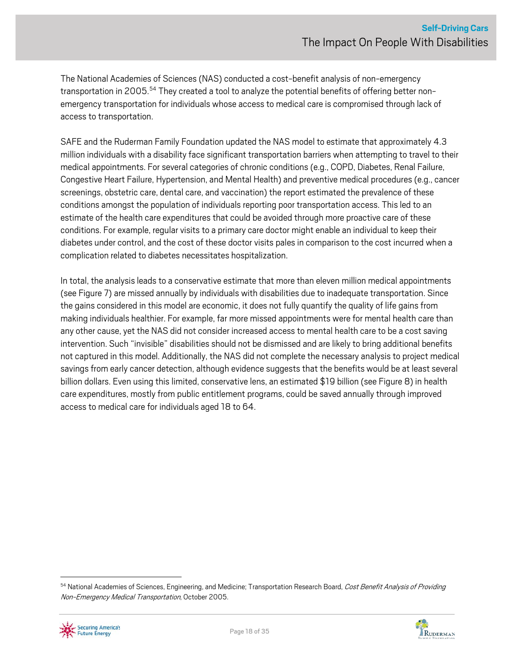The National Academies of Sciences(NAS) conducted a cost-benefit analysis of non-emergency transportation in 2005.<sup>[54](#page-17-0)</sup> They created a tool to analyze the potential benefits of offering better nonemergency transportation for individuals whose access to medical care is compromised through lack of access to transportation.

SAFE and the Ruderman Family Foundation updated the NAS model to estimate that approximately 4.3 million individuals with a disability face significant transportation barriers when attempting to travel to their medical appointments. For several categories of chronic conditions (e.g., COPD, Diabetes, Renal Failure, Congestive Heart Failure, Hypertension, and Mental Health) and preventive medical procedures (e.g., cancer screenings, obstetric care, dental care, and vaccination) the report estimated the prevalence of these conditions amongst the population of individuals reporting poor transportation access. This led to an estimate of the health care expenditures that could be avoided through more proactive care of these conditions. For example, regular visits to a primary care doctor might enable an individual to keep their diabetes under control, and the cost of these doctor visits pales in comparison to the cost incurred when a complication related to diabetes necessitates hospitalization.

In total, the analysis leads to a conservative estimate that more than eleven million medical appointments (see Figure 7) are missed annually by individuals with disabilities due to inadequate transportation. Since the gains considered in this model are economic, it does not fully quantify the quality of life gains from making individuals healthier. For example, far more missed appointments were for mental health care than any other cause, yet the NAS did not consider increased access to mental health care to be a cost saving intervention. Such "invisible" disabilities should not be dismissed and are likely to bring additional benefits not captured in this model. Additionally, the NAS did not complete the necessary analysis to project medical savings from early cancer detection, although evidence suggests that the benefits would be at least several billion dollars. Even using this limited, conservative lens, an estimated \$19 billion (see Figure 8) in health care expenditures, mostly from public entitlement programs, could be saved annually through improved access to medical care for individuals aged 18 to 64.

<span id="page-17-0"></span><sup>54</sup> National Academies of Sciences, Engineering, and Medicine; Transportation Research Board, Cost Benefit Analysis of Providing Non-Emergency Medical Transportation, October 2005.



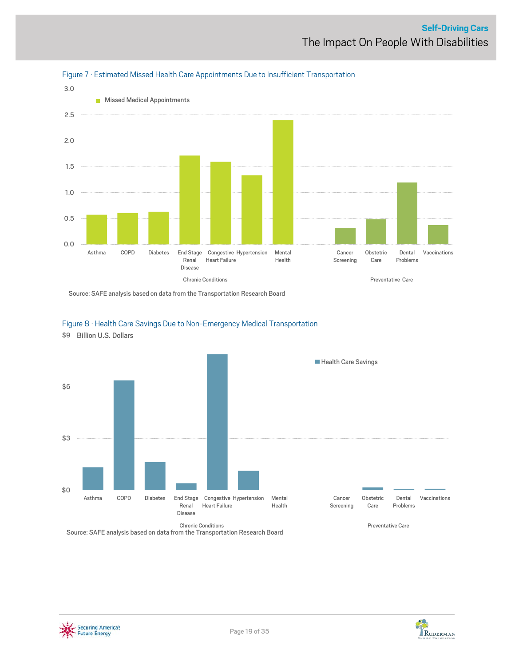



Source: SAFE analysis based on data from the Transportation Research Board

#### Figure 8 · Health Care Savings Due to Non-Emergency Medical Transportation



Source: SAFE analysis based on data from the Transportation Research Board



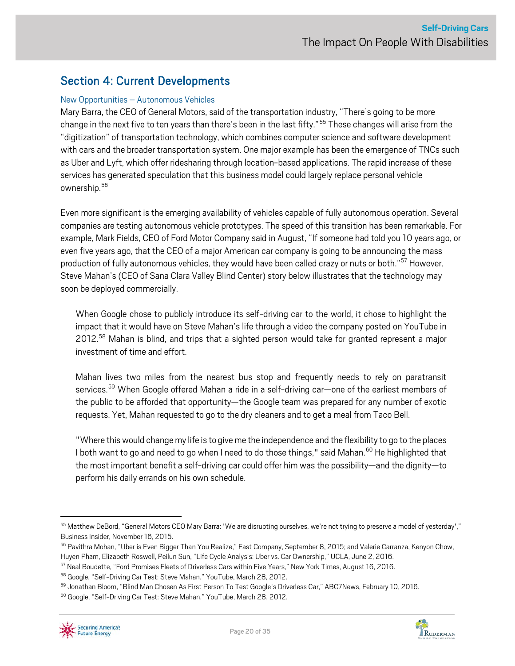### <span id="page-19-0"></span>Section 4: Current Developments

#### New Opportunities – Autonomous Vehicles

Mary Barra, the CEO of General Motors, said of the transportation industry, "There's going to be more change in the next five to ten years than there's been in the last fifty."<sup>[55](#page-19-1)</sup> These changes will arise from the "digitization" of transportation technology, which combines computer science and software development with cars and the broader transportation system. One major example has been the emergence of TNCs such as Uber and Lyft, which offer ridesharing through location-based applications. The rapid increase of these services has generated speculation that this business model could largely replace personal vehicle ownership[.56](#page-19-2)

Even more significant is the emerging availability of vehicles capable of fully autonomous operation. Several companies are testing autonomous vehicle prototypes. The speed of this transition has been remarkable. For example, Mark Fields, CEO of Ford Motor Company said in August, "If someone had told you 10 years ago, or even five years ago, that the CEO of a major American car company is going to be announcing the mass production of fully autonomous vehicles, they would have been called crazy or nuts or both."<sup>[57](#page-19-3)</sup> However, Steve Mahan's (CEO of Sana Clara Valley Blind Center) story below illustrates that the technology may soon be deployed commercially.

When Google chose to publicly introduce its self-driving car to the world, it chose to highlight the impact that it would have on Steve Mahan's life through a video the company posted on YouTube in 2012.<sup>[58](#page-19-4)</sup> Mahan is blind, and trips that a sighted person would take for granted represent a major investment of time and effort.

Mahan lives two miles from the nearest bus stop and frequently needs to rely on paratransit services.<sup>[59](#page-19-5)</sup> When Google offered Mahan a ride in a self-driving car—one of the earliest members of the public to be afforded that opportunity—the Google team was prepared for any number of exotic requests. Yet, Mahan requested to go to the dry cleaners and to get a meal from Taco Bell.

"Where this would change my life is to give me the independence and the flexibility to go to the places I both want to go and need to go when I need to do those things," said Mahan.<sup>[60](#page-19-6)</sup> He highlighted that the most important benefit a self-driving car could offer him was the possibility—and the dignity—to perform his daily errands on his own schedule.



<span id="page-19-1"></span><sup>55</sup> Matthew DeBord, "General Motors CEO Mary Barra: 'We are disrupting ourselves, we're not trying to preserve a model of yesterday'," Business Insider, November 16, 2015.

<span id="page-19-2"></span><sup>&</sup>lt;sup>56</sup> Pavithra Mohan, "Uber is Even Bigger Than You Realize," Fast Company, September 8, 2015; and Valerie Carranza, Kenyon Chow, Huyen Pham, Elizabeth Roswell, Peilun Sun, "Life Cycle Analysis: Uber vs. Car Ownership," UCLA, June 2, 2016.

<span id="page-19-3"></span><sup>57</sup> Neal Boudette, "Ford Promises Fleets of Driverless Cars within Five Years," New York Times, August 16, 2016.

<span id="page-19-5"></span><span id="page-19-4"></span><sup>&</sup>lt;sup>58</sup> Google, "Self-Driving Car Test: Steve Mahan." YouTube, March 28, 2012.<br><sup>59</sup> Jonathan Bloom, "Blind Man Chosen As First Person To Test Google's Driverless Car," ABC7News, February 10, 2016.

<span id="page-19-6"></span><sup>&</sup>lt;sup>60</sup> Google, "Self-Driving Car Test: Steve Mahan." YouTube, March 28, 2012.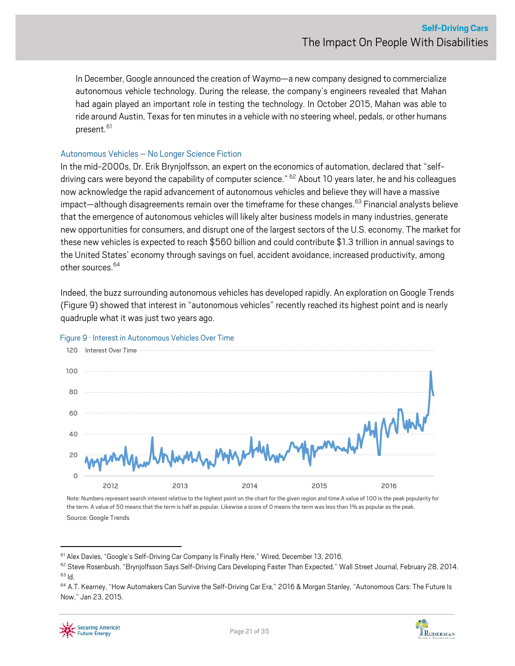In December, Google announced the creation of Waymo—a new company designed to commercialize autonomous vehicle technology. During the release, the company's engineers revealed that Mahan had again played an important role in testing the technology. In October 2015, Mahan was able to ride around Austin, Texas for ten minutes in a vehicle with no steering wheel, pedals, or other humans present.<sup>61</sup>

#### Autonomous Vehicles – No Longer Science Fiction

In the mid-2000s, Dr. Erik Brynjolfsson, an expert on the economics of automation, declared that "self-driving cars were beyond the capability of computer science." <sup>[62](#page-20-1)</sup> About 10 years later, he and his colleagues now acknowledge the rapid advancement of autonomous vehicles and believe they will have a massive impact—although disagreements remain over the timeframe for these changes. [63](#page-20-2) Financial analysts believe that the emergence of autonomous vehicles will likely alter business models in many industries, generate new opportunities for consumers, and disrupt one of the largest sectors of the U.S. economy. The market for these new vehicles is expected to reach \$560 billion and could contribute \$1.3 trillion in annual savings to the United States' economythrough savings on fuel, accident avoidance, increased productivity, among other sources. [64](#page-20-3)

Indeed, the buzz surrounding autonomous vehicles has developed rapidly. An exploration on Google Trends (Figure 9) showed that interest in "autonomous vehicles" recently reached its highest point and is nearly quadruple what it was just two years ago.



#### Figure 9 · Interest in Autonomous Vehicles Over Time

Note: Numbers represent search interest relative to the highest point on the chart for the given region and time.A value of 100 is the peak popularity for the term. A value of 50 means that the term is half as popular. Likewise a score of 0 means the term was less than 1% as popular as the peak. Source: Google Trends



<span id="page-20-1"></span><span id="page-20-0"></span><sup>&</sup>lt;sup>61</sup> Alex Davies, "Google's Self-Driving Car Company Is Finally Here," Wired, December 13, 2016.<br><sup>62</sup> Steve Rosenbush, "Brynjolfsson Says Self-Driving Cars Developing Faster Than Expected," Wall Street Journal, February 2

<span id="page-20-3"></span><span id="page-20-2"></span><sup>&</sup>lt;sup>64</sup> A.T. Kearney, "How Automakers Can Survive the Self-Driving Car Era," 2016 & Morgan Stanley, "Autonomous Cars: The Future Is Now," Jan 23, 2015.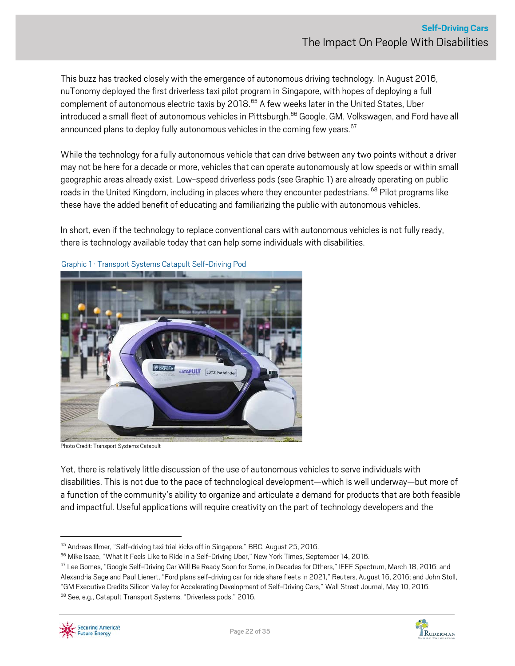This buzz has tracked closely with the emergence of autonomous driving technology. In August 2016, nuTonomy deployed the first driverless taxi pilot program in Singapore, with hopes of deploying a full complement of autonomous electric taxis by 2018.<sup>[65](#page-21-0)</sup> A few weeks later in the United States, Uber introduced a small fleet of autonomous vehicles in Pittsburgh.<sup>[66](#page-21-1)</sup> Google, GM, Volkswagen, and Ford have all announced plans to deploy fully autonomous vehicles in the coming few years.  $67$ 

While the technology for a fully autonomous vehicle that can drive between any two points without a driver may not be here for a decade or more, vehicles that can operate autonomously at low speeds or within small geographic areas already exist. Low-speed driverless pods (see Graphic 1) are already operating on public roads in the United Kingdom, including in places where they encounter pedestrians. <sup>[68](#page-21-3)</sup> Pilot programs like these have the added benefit of educating and familiarizing the public with autonomous vehicles.

In short, even if the technology to replace conventional cars with autonomous vehicles is not fully ready, there is technology available today that can help some individuals with disabilities.



Graphic 1 · Transport Systems Catapult Self-Driving Pod

Photo Credit: Transport Systems Catapult

Yet, there is relatively little discussion of the use of autonomous vehicles to serve individuals with disabilities. This is not due to the pace of technological development—which is well underway—but more of a function of the community's ability to organize and articulate a demand for products that are both feasible and impactful. Useful applications will require creativity on the part of technology developers and the



<span id="page-21-1"></span>

<span id="page-21-0"></span> $65$  Andreas Illmer, "Self-driving taxi trial kicks off in Singapore," BBC, August 25, 2016.<br> $66$  Mike Isaac, "What It Feels Like to Ride in a Self-Driving Uber," New York Times, September 14, 2016.

<span id="page-21-3"></span><span id="page-21-2"></span><sup>&</sup>lt;sup>67</sup> Lee Gomes, "Google Self-Driving Car Will Be Ready Soon for Some, in Decades for Others," IEEE Spectrum, March 18, 2016; and Alexandria Sage and Paul Lienert, "Ford plans self-driving car for ride share fleets in 2021," Reuters, August 16, 2016; and John Stoll, "GM Executive Credits Silicon Valley for Accelerating Development of Self-Driving Cars," Wall Street Journal, May 10, 2016. <sup>68</sup> See, e.g., Catapult Transport Systems, "Driverless pods," 2016.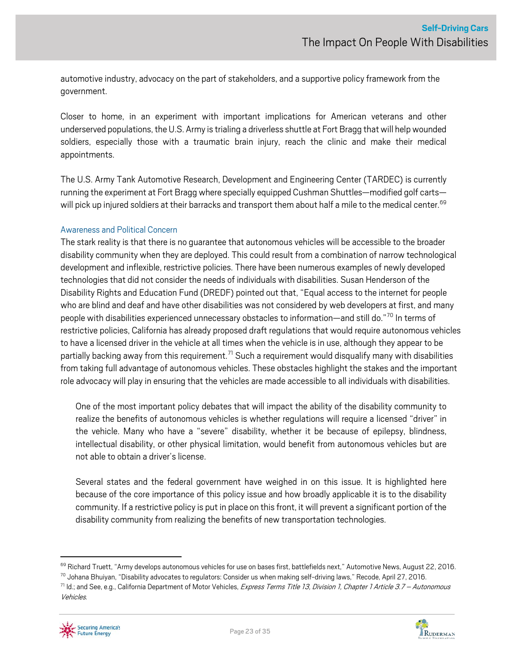automotive industry, advocacy on the part of stakeholders, and a supportive policy framework from the government.

Closer to home, in an experiment with important implications for American veterans and other underserved populations, the U.S. Army is trialing a driverless shuttle at Fort Bragg that will help wounded soldiers, especially those with a traumatic brain injury, reach the clinic and make their medical appointments.

The U.S. Army Tank Automotive Research, Development and Engineering Center (TARDEC) is currently running the experiment at Fort Bragg where specially equipped Cushman Shuttles—modified golf carts— will pick up injured soldiers at their barracks and transport them about half a mile to the medical center.<sup>[69](#page-22-0)</sup>

#### Awareness and Political Concern

The stark reality is that there is no guarantee that autonomous vehicles will be accessible to the broader disability community when they are deployed. This could result from a combination of narrow technological development and inflexible, restrictive policies. There have been numerous examples of newly developed technologies that did not consider the needs of individuals with disabilities. Susan Henderson of the Disability Rights and Education Fund (DREDF) pointed out that, "Equal access to the internet for people who are blind and deaf and have other disabilities was not considered by web developers at first, and many people with disabilities experienced unnecessary obstacles to information—and still do."[70](#page-22-1) In terms of restrictive policies, California has already proposed draft regulations that would require autonomous vehicles to have a licensed driver in the vehicle at all times when the vehicle is in use, although they appear to be partially backing away from this requirement.<sup>[71](#page-22-2)</sup> Such a requirement would disqualify many with disabilities from taking full advantage of autonomous vehicles. These obstacles highlight the stakes and the important role advocacy will play in ensuring that the vehicles are made accessible to all individuals with disabilities.

One of the most important policy debates that will impact the ability of the disability community to realize the benefits of autonomous vehicles is whether regulations will require a licensed "driver" in the vehicle. Many who have a "severe" disability, whether it be because of epilepsy, blindness, intellectual disability, or other physical limitation, would benefit from autonomous vehicles but are not able to obtain a driver's license.

Several states and the federal government have weighed in on this issue. It is highlighted here because of the core importance of this policy issue and how broadly applicable it is to the disability community. If a restrictive policy is put in place on this front, it will prevent a significant portion of the disability community from realizing the benefits of new transportation technologies.

<span id="page-22-2"></span>Vehicles.



<span id="page-22-1"></span><span id="page-22-0"></span><sup>&</sup>lt;sup>69</sup> Richard Truett, "Army develops autonomous vehicles for use on bases first, battlefields next," Automotive News, August 22, 2016.<br><sup>70</sup> Johana Bhuiyan, "Disability advocates to regulators: Consider us when making self-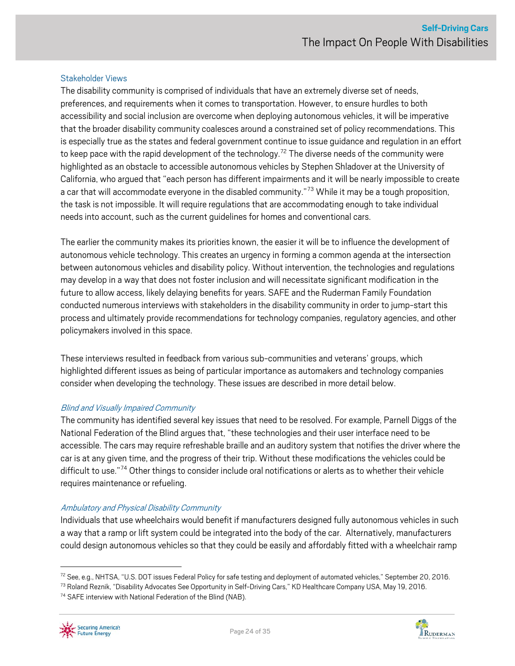#### Stakeholder Views

The disability community is comprised of individuals that have an extremely diverse set of needs, preferences, and requirements when it comes to transportation. However, to ensure hurdles to both accessibility and social inclusion are overcome when deploying autonomous vehicles, it will be imperative that the broader disability community coalesces around a constrained set of policy recommendations. This is especially true as the states and federal government continue to issue guidance and regulation in an effort to keep pace with the rapid development of the technology.<sup>[72](#page-23-0)</sup> The diverse needs of the community were highlighted as an obstacle to accessible autonomous vehicles by Stephen Shladover at the University of California, who argued that "each person has different impairments and it will be nearly impossible to create a car that will accommodate everyone in the disabled community."<sup>[73](#page-23-1)</sup> While it may be a tough proposition, the task is not impossible. It will require regulations that are accommodating enough to take individual needs into account, such as the current guidelines for homes and conventional cars.

The earlier the community makes its priorities known, the easier it will be to influence the development of autonomous vehicle technology. This creates an urgency in forming a common agenda at the intersection between autonomous vehicles and disability policy. Without intervention, the technologies and regulations may develop in a waythat does not foster inclusion and will necessitate significant modification in the future to allow access, likely delaying benefits for years. SAFE and the Ruderman Family Foundation conducted numerous interviews with stakeholders in the disability community in order to jump-start this process and ultimately provide recommendations for technology companies, regulatory agencies, and other policymakers involved in this space.

These interviews resulted in feedback from various sub-communities and veterans' groups, which highlighted different issues as being of particular importance as automakers and technology companies consider when developing the technology. These issues are described in more detail below.

#### Blind and Visually Impaired Community

The community has identified several key issues that need to be resolved. For example, Parnell Diggs of the National Federation of the Blind argues that, "these technologies and their user interface need to be accessible. The cars may require refreshable braille and an auditory system that notifies the driver where the car is at any given time, and the progress of their trip. Without these modifications the vehicles could be difficult to use."<sup>[74](#page-23-2)</sup> Other things to consider include oral notifications or alerts as to whether their vehicle requires maintenance or refueling.

#### Ambulatory and Physical Disability Community

Individuals that use wheelchairs would benefit if manufacturers designed fully autonomous vehicles in such a way that a ramp or lift system could be integrated into the body of the car. Alternatively, manufacturers could design autonomous vehicles so that they could be easily and affordably fitted with a wheelchair ramp



<span id="page-23-0"></span><sup>&</sup>lt;sup>72</sup> See, e.g., NHTSA, "U.S. DOT issues Federal Policy for safe testing and deployment of automated vehicles," September 20, 2016.

<span id="page-23-1"></span><sup>&</sup>lt;sup>73</sup> Roland Reznik, "Disability Advocates See Opportunity in Self-Driving Cars," KD Healthcare Company USA, May 19, 2016.

<span id="page-23-2"></span><sup>&</sup>lt;sup>74</sup> SAFE interview with National Federation of the Blind (NAB).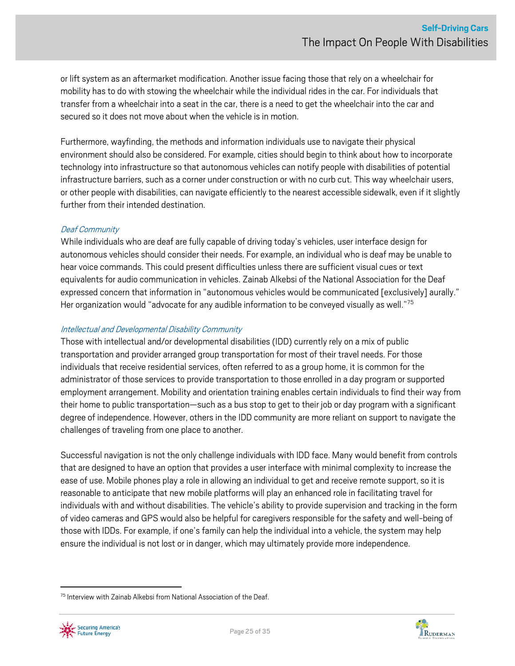or lift system as an aftermarket modification. Another issue facing those that rely on a wheelchair for mobility has to do with stowing the wheelchair while the individual rides in the car. For individualsthat transfer from a wheelchair into a seat in the car, there is a need to get the wheelchair into the car and secured so it does not move about when the vehicle is in motion.

Furthermore, wayfinding, the methods and information individuals use to navigate their physical environment should also be considered. For example, cities should begin to think about how to incorporate technology into infrastructure so that autonomous vehicles can notify people with disabilities of potential infrastructure barriers, such as a corner under construction or with no curb cut. This way wheelchair users, or other people with disabilities, can navigate efficiently to the nearest accessible sidewalk, even if it slightly further from their intended destination.

#### Deaf Community

While individuals who are deaf are fully capable of driving today's vehicles, user interface design for autonomous vehicles should consider their needs. For example, an individual who is deaf may be unable to hear voice commands. This could present difficulties unless there are sufficient visual cues or text equivalents for audio communication in vehicles. Zainab Alkebsi of the National Association for the Deaf expressed concern that information in "autonomous vehicles would be communicated [exclusively] aurally." Her organization would "advocate for any audible information to be conveyed visually as well."<sup>[75](#page-24-0)</sup>

#### Intellectual and Developmental Disability Community

Those with intellectual and/or developmental disabilities(IDD) currently rely on a mix of public transportation and provider arranged group transportation for most of their travel needs. For those individuals that receive residential services, often referred to as a group home, it is common for the administrator of those services to provide transportation to those enrolled in a day program or supported employment arrangement. Mobility and orientation training enables certain individuals to find their way from their home to public transportation—such as a bus stop to get to their job or day program with a significant degree of independence. However, others in the IDD community are more reliant on support to navigate the challenges of traveling from one place to another.

Successful navigation is not the only challenge individuals with IDD face. Many would benefit from controls that are designed to have an option that provides a user interface with minimal complexity to increase the ease of use. Mobile phones play a role in allowing an individual to get and receive remote support, so it is reasonable to anticipate that new mobile platforms will play an enhanced role in facilitating travel for individuals with and without disabilities. The vehicle's ability to provide supervision and tracking in the form of video cameras and GPS would also be helpful for caregivers responsible for the safety and well-being of those with IDDs. For example, if one's family can help the individual into a vehicle, the system may help ensure the individual is not lost or in danger, which may ultimately provide more independence.

<span id="page-24-0"></span><sup>&</sup>lt;sup>75</sup> Interview with Zainab Alkebsi from National Association of the Deaf.



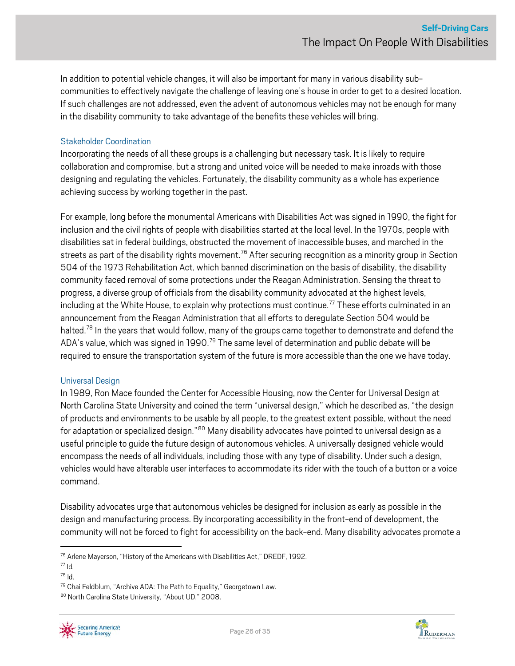In addition to potential vehicle changes, it will also be important for many in various disability subcommunities to effectively navigate the challenge of leaving one's house in order to get to a desired location. If such challenges are not addressed, even the advent of autonomous vehicles may not be enough for many in the disability community to take advantage of the benefits these vehicles will bring.

#### Stakeholder Coordination

Incorporating the needs of all these groups is a challenging but necessary task. It is likely to require collaboration and compromise, but a strong and united voice will be needed to make inroads with those designing and regulating the vehicles. Fortunately, the disability community as a whole has experience achieving success by working together in the past.

For example, long before the monumental Americans with Disabilities Act was signed in 1990, the fight for inclusion and the civil rights of people with disabilities started at the local level. In the 1970s, people with disabilities sat in federal buildings, obstructed the movement of inaccessible buses, and marched in the streets as part of the disability rights movement.<sup>[76](#page-25-0)</sup> After securing recognition as a minority group in Section 504 of the 1973 Rehabilitation Act, which banned discrimination on the basis of disability, the disability community faced removal of some protections under the Reagan Administration. Sensing the threat to progress, a diverse group of officials from the disability community advocated at the highest levels, including at the White House, to explain why protections must continue.<sup>77</sup> These efforts culminated in an announcement from the Reagan Administration that all efforts to deregulate Section 504 would be halted.<sup>[78](#page-25-2)</sup> In the years that would follow, many of the groups came together to demonstrate and defend the ADA's value, which was signed in 1990.<sup>[79](#page-25-3)</sup> The same level of determination and public debate will be required to ensure the transportation system of the future is more accessible than the one we have today.

#### Universal Design

In 1989, Ron Mace founded the Center for Accessible Housing, now the Center for Universal Design at North Carolina State University and coined the term "universal design," which he described as, "the design of products and environments to be usable by all people, to the greatest extent possible, without the need for adaptation or specialized design."<sup>[80](#page-25-4)</sup> Many disability advocates have pointed to universal design as a useful principle to guide the future design of autonomous vehicles. A universally designed vehicle would encompass the needs of all individuals, including those with any type of disability. Under such a design, vehicles would have alterable user interfaces to accommodate its rider with the touch of a button or a voice command.

Disability advocates urge that autonomous vehicles be designed for inclusion as early as possible in the design and manufacturing process. By incorporating accessibility in the front-end of development, the community will not be forced to fight for accessibility on the back-end. Many disability advocates promote a



<span id="page-25-0"></span><sup>76</sup> Arlene Mayerson, "History of the Americans with Disabilities Act," DREDF, 1992.

<span id="page-25-1"></span> $77$  Id.

<span id="page-25-2"></span> $78$  Id.

<span id="page-25-3"></span><sup>&</sup>lt;sup>79</sup> Chai Feldblum, "Archive ADA: The Path to Equality," Georgetown Law.

<span id="page-25-4"></span><sup>80</sup> North Carolina State University, "About UD," 2008.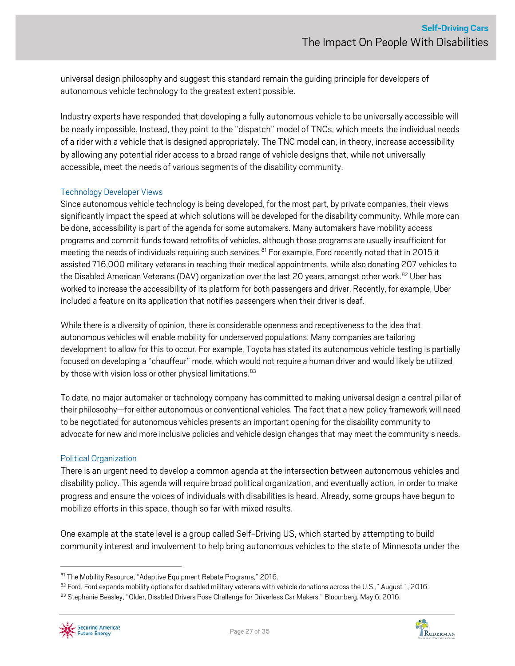universal design philosophy and suggest this standard remain the guiding principle for developers of autonomous vehicle technology to the greatest extent possible.

Industry experts have responded that developing a fully autonomous vehicle to be universally accessible will be nearly impossible. Instead, they point to the "dispatch" model of TNCs, which meets the individual needs of a rider with a vehicle that is designed appropriately. The TNC model can, in theory, increase accessibility by allowing any potential rider access to a broad range of vehicle designs that, while not universally accessible, meet the needs of various segments of the disability community.

#### Technology Developer Views

Since autonomous vehicle technology is being developed, for the most part, by private companies, their views significantly impact the speed at which solutions will be developed for the disability community. While more can be done, accessibility is part of the agenda for some automakers. Many automakers have mobility access programs and commit funds toward retrofits of vehicles, although those programs are usually insufficient for meeting the needs of individuals requiring such services.<sup>[81](#page-26-0)</sup> For example, Ford recently noted that in 2015 it assisted 716,000 military veterans in reaching their medical appointments, while also donating 207 vehicles to the Disabled American Veterans (DAV) organization over the last 20 years, amongst other work. [82](#page-26-1) Uber has worked to increase the accessibility of its platform for both passengers and driver. Recently, for example, Uber included a feature on its application that notifies passengers when their driver is deaf.

While there is a diversity of opinion, there is considerable openness and receptiveness to the idea that autonomous vehicles will enable mobility for underserved populations. Many companies are tailoring development to allow for this to occur. For example, Toyota has stated its autonomous vehicle testing is partially focused on developing a "chauffeur" mode, which would not require a human driver and would likely be utilized by those with vision loss or other physical limitations.<sup>[83](#page-26-2)</sup>

To date, no major automaker or technology company has committed to making universal design a central pillar of their philosophy—for either autonomous or conventional vehicles. The fact that a new policy framework will need to be negotiated for autonomous vehicles presents an important opening for the disability community to advocate for new and more inclusive policies and vehicle design changes that may meet the community's needs.

#### Political Organization

There is an urgent need to develop a common agenda at the intersection between autonomous vehicles and disability policy. This agenda will require broad political organization, and eventually action, in order to make progress and ensure the voices of individuals with disabilities is heard. Already, some groups have begun to mobilize efforts in this space, though so far with mixed results.

One example at the state level is a group called Self-Driving US, which started by attempting to build community interest and involvement to help bring autonomousvehicles to the state of Minnesota under the



<span id="page-26-0"></span><sup>81</sup> The Mobility Resource, "Adaptive Equipment Rebate Programs," 2016.

<span id="page-26-1"></span><sup>82</sup> Ford, Ford expands mobility options for disabled military veterans with vehicle donations across the U.S.," August 1, 2016.

<span id="page-26-2"></span><sup>83</sup> Stephanie Beasley, "Older, Disabled Drivers Pose Challenge for Driverless Car Makers," Bloomberg, May 6, 2016.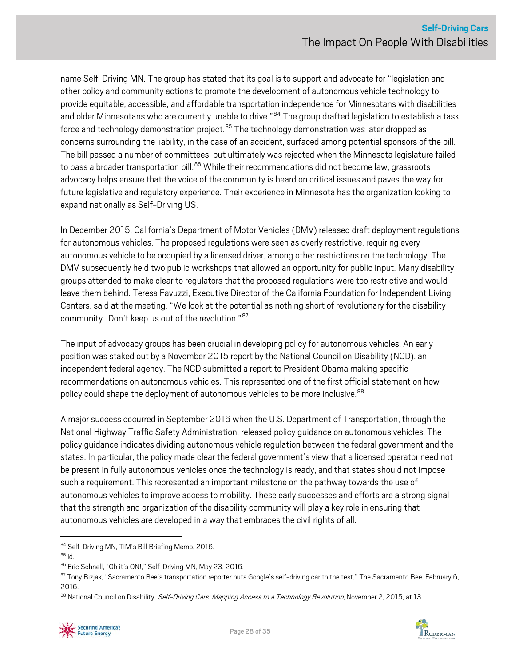name Self-Driving MN. The group has stated that its goal is to support and advocate for "legislation and other policy and community actions to promote the development of autonomous vehicle technology to provide equitable, accessible, and affordable transportation independence for Minnesotans with disabilities and older Minnesotans who are currently unable to drive."<sup>[84](#page-27-0)</sup> The group drafted legislation to establish a task force and technology demonstration project.<sup>[85](#page-27-1)</sup> The technology demonstration was later dropped as concerns surrounding the liability, in the case of an accident, surfaced among potential sponsors of the bill. The bill passed a number of committees, but ultimately was rejected when the Minnesota legislature failed to pass a broader transportation bill.<sup>[86](#page-27-2)</sup> While their recommendations did not become law, grassroots advocacy helps ensure that the voice of the community is heard on critical issues and paves the way for future legislative and regulatory experience. Their experience in Minnesota has the organization looking to expand nationally as Self-Driving US.

In December 2015, California's Department of Motor Vehicles (DMV) released draft deployment regulations for autonomous vehicles. The proposed regulations were seen as overly restrictive, requiring every autonomous vehicle to be occupied by a licensed driver, among other restrictions on the technology. The DMV subsequently held two public workshops that allowed an opportunity for public input. Many disability groups attended to make clear to regulators that the proposed regulations were too restrictive and would leave them behind. Teresa Favuzzi, Executive Director of the California Foundation for Independent Living Centers, said at the meeting, "We look at the potential as nothing short of revolutionary for the disability community…Don't keep us out of the revolution."[87](#page-27-3)

The input of advocacy groups has been crucial in developing policy for autonomous vehicles. An early position was staked out by a November 2015 report by the National Council on Disability (NCD), an independent federal agency. The NCD submitted a report to President Obama making specific recommendations on autonomous vehicles. This represented one of the first official statement on how policy could shape the deployment of autonomous vehicles to be more inclusive.<sup>[88](#page-27-4)</sup>

A major success occurred in September 2016 when the U.S. Department of Transportation, through the National Highway Traffic Safety Administration, released policy quidance on autonomous vehicles. The policy guidance indicates dividing autonomous vehicle regulation between the federal government and the states. In particular, the policy made clear the federal government's view that a licensed operator need not be present in fully autonomous vehicles once the technology is ready, and that states should not impose such a requirement. This represented an important milestone on the pathway towards the use of autonomous vehicles to improve access to mobility. These early successes and efforts are a strong signal that the strength and organization of the disability community will play a key role in ensuring that autonomous vehicles are developed in a way that embraces the civil rights of all.



<span id="page-27-1"></span><span id="page-27-0"></span> $84$  Self-Driving MN, TIM's Bill Briefing Memo, 2016.<br> $85$  Id.

<span id="page-27-2"></span><sup>86</sup> Eric Schnell, "Oh it's ON!," Self-Driving MN, May 23, 2016.

<span id="page-27-3"></span><sup>87</sup> Tony Bizjak, "Sacramento Bee's transportation reporter puts Google's self-driving car to the test," The Sacramento Bee, February 6, 2016.

<span id="page-27-4"></span><sup>88</sup> National Council on Disability, *Self-Driving Cars: Mapping Access to a Technology Revolution*, November 2, 2015, at 13.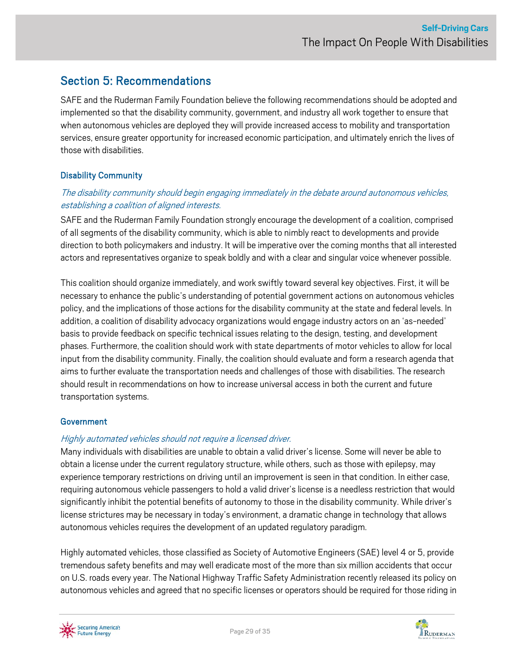## <span id="page-28-0"></span>Section 5: Recommendations

SAFE and the Ruderman Family Foundation believe the following recommendations should be adopted and implemented so that the disability community, government, and industry all work together to ensure that when autonomous vehicles are deployed they will provide increased access to mobility and transportation services, ensure greater opportunity for increased economic participation, and ultimately enrich the lives of those with disabilities.

### Disability Community

### The disability community should begin engaging immediately in the debate around autonomous vehicles, establishing a coalition of aligned interests.

SAFE and the Ruderman Family Foundation strongly encourage the development of a coalition, comprised of all segments of the disability community, which is able to nimbly react to developments and provide direction to both policymakers and industry. It will be imperative over the coming months that all interested actors and representatives organize to speak boldly and with a clear and singular voice whenever possible.

This coalition should organize immediately, and work swiftly toward several key objectives. First, it will be necessary to enhance the public's understanding of potential government actions on autonomous vehicles policy, and the implications of those actions for the disability community at the state and federal levels. In addition, a coalition of disability advocacy organizations would engage industry actors on an 'as-needed' basis to provide feedback on specific technical issues relating to the design, testing, and development phases. Furthermore, the coalition should work with state departments of motor vehicles to allow for local input from the disability community. Finally, the coalition should evaluate and form a research agenda that aims to further evaluate the transportation needs and challenges of those with disabilities. The research should result in recommendations on how to increase universal access in both the current and future transportation systems.

### **Government**

### Highly automated vehicles should not require a licensed driver.

Many individuals with disabilities are unable to obtain a valid driver's license. Some will never be able to obtain a license under the current regulatory structure, while others, such as those with epilepsy, may experience temporary restrictions on driving until an improvement is seen in that condition. In either case, requiring autonomous vehicle passengers to hold a valid driver's license is a needless restriction that would significantly inhibit the potential benefits of autonomy to those in the disability community. While driver's license strictures may be necessary in today's environment, a dramatic change in technology that allows autonomous vehicles requires the development of an updated regulatory paradigm.

Highly automated vehicles, those classified as Society of Automotive Engineers (SAE) level 4 or 5, provide tremendous safety benefits and may well eradicate most of the more than six million accidents that occur on U.S. roads every year. The National Highway Traffic Safety Administration recently released its policy on autonomous vehicles and agreed that no specific licenses or operators should be required for those riding in



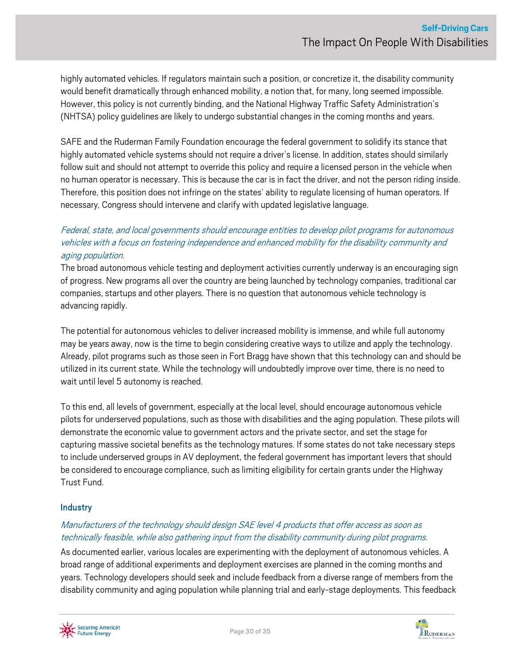highly automated vehicles. If regulators maintain such a position, or concretize it, the disability community would benefit dramatically through enhanced mobility, a notion that, for many, long seemed impossible. However, this policy is not currently binding, and the National Highway Traffic Safety Administration's (NHTSA) policy guidelines are likely to undergo substantial changes in the coming months and years.

SAFE and the Ruderman Family Foundation encourage the federal government to solidify its stance that highly automated vehicle systems should not require a driver's license. In addition, states should similarly follow suit and should not attempt to override this policy and require a licensed person in the vehicle when no human operator is necessary. This is because the car is in fact the driver, and not the person riding inside. Therefore, this position does not infringe on the states' ability to regulate licensing of human operators. If necessary, Congress should intervene and clarify with updated legislative language.

### Federal, state, and local governments should encourage entities to develop pilot programs for autonomous vehicles with a focus on fostering independence and enhanced mobility for the disability community and aging population.

The broad autonomous vehicle testing and deployment activities currently underway is an encouraging sign of progress. New programs all over the country are being launched by technology companies, traditional car companies, startups and other players. There is no question that autonomous vehicle technology is advancing rapidly.

The potential for autonomous vehicles to deliver increased mobility is immense, and while full autonomy may be years away, now is the time to begin considering creative ways to utilize and apply the technology. Already, pilot programs such as those seen in Fort Bragg have shown that this technology can and should be utilized in its current state. While the technology will undoubtedly improve over time, there is no need to wait until level 5 autonomy is reached.

To this end, all levels of government, especially at the local level, should encourage autonomous vehicle pilots for underserved populations, such as those with disabilities and the aging population. These pilots will demonstrate the economic value to government actors and the private sector, and set the stage for capturing massive societal benefits as the technology matures. If some states do not take necessary steps to include underserved groups in AV deployment, the federal government has important levers that should be considered to encourage compliance, such as limiting eligibility for certain grants under the Highway Trust Fund.

### **Industry**

### Manufacturers of the technology should design SAE level 4 products that offer access as soon as technically feasible, while also gathering input from the disability community during pilot programs.

As documented earlier, various locales are experimenting with the deployment of autonomous vehicles. A broad range of additional experiments and deployment exercises are planned in the coming months and years. Technology developers should seek and include feedback from a diverse range of members from the disability community and aging population while planning trial and early-stage deployments. This feedback



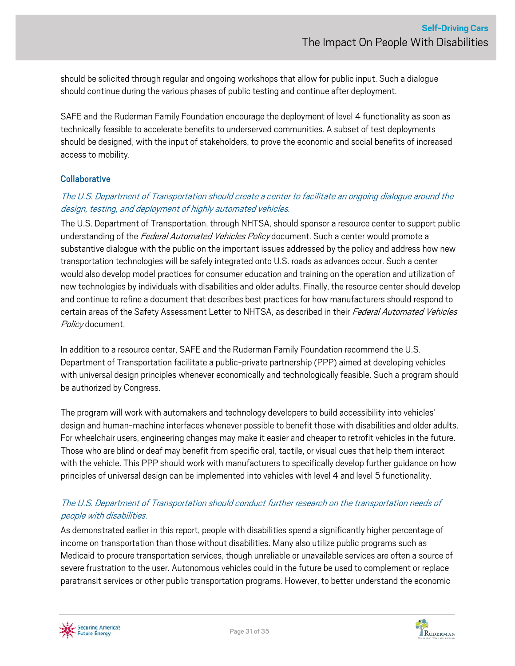should be solicited through regular and ongoing workshops that allow for public input. Such a dialogue should continue during the various phases of public testing and continue after deployment.

SAFE and the Ruderman Family Foundation encourage the deployment of level 4 functionality as soon as technically feasible to accelerate benefits to underserved communities. A subset of test deployments should be designed, with the input of stakeholders, to prove the economic and social benefits of increased access to mobility.

#### **Collaborative**

### The U.S. Department of Transportation should create a center to facilitate an ongoing dialogue around the design, testing, and deployment of highly automated vehicles.

The U.S. Department of Transportation, through NHTSA, should sponsor a resource center to support public understanding of the Federal Automated Vehicles Policy document. Such a center would promote a substantive dialogue with the public on the important issues addressed by the policy and address how new transportation technologies will be safely integrated onto U.S. roads as advances occur. Such a center would also develop model practices for consumer education and training on the operation and utilization of new technologies by individuals with disabilities and older adults. Finally, the resource center should develop and continue to refine a document that describes best practices for how manufacturers should respond to certain areas of the Safety Assessment Letter to NHTSA, as described in their Federal Automated Vehicles Policy document.

In addition to a resource center, SAFE and the Ruderman Family Foundation recommend the U.S. Department of Transportation facilitate a public-private partnership (PPP) aimed at developing vehicles with universal design principles whenever economically and technologically feasible. Such a program should be authorized by Congress.

The program will work with automakers and technology developers to build accessibility into vehicles' design and human-machine interfaces whenever possible to benefit those with disabilities and older adults. For wheelchair users, engineering changes may make it easier and cheaper to retrofit vehicles in the future. Those who are blind or deaf may benefit from specific oral, tactile, or visual cues that help them interact with the vehicle. This PPP should work with manufacturers to specifically develop further guidance on how principles of universal design can be implemented into vehicles with level 4 and level 5 functionality.

### The U.S. Department of Transportation should conduct further research on the transportation needs of people with disabilities.

As demonstrated earlier in this report, people with disabilities spend a significantly higher percentage of income on transportation than those without disabilities. Many also utilize public programs such as Medicaid to procure transportation services, though unreliable or unavailable services are often a source of severe frustration to the user. Autonomous vehicles could in the future be used to complement or replace paratransit services or other public transportation programs. However, to better understand the economic



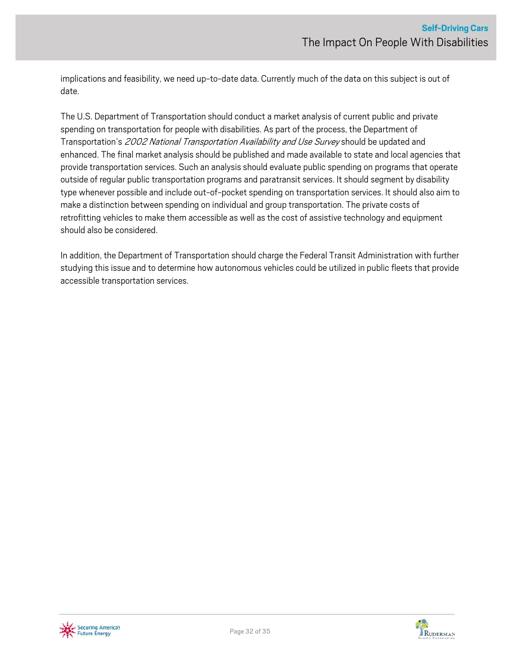implications and feasibility, we need up-to-date data. Currently much of the data on this subject is out of date.

The U.S. Department of Transportation should conduct a market analysis of current public and private spending on transportation for people with disabilities. As part of the process, the Department of Transportation's 2002 National Transportation Availability and Use Survey should be updated and enhanced. The final market analysis should be published and made available to state and local agencies that provide transportation services. Such an analysis should evaluate public spending on programs that operate outside of regular public transportation programs and paratransit services. It should segment by disability type whenever possible and include out-of-pocket spending on transportation services. It should also aim to make a distinction between spending on individual and group transportation. The private costs of retrofitting vehicles to make them accessible as well as the cost of assistive technology and equipment should also be considered.

In addition, the Department of Transportation should charge the Federal Transit Administration with further studying this issue and to determine how autonomous vehicles could be utilized in public fleets that provide accessible transportation services.



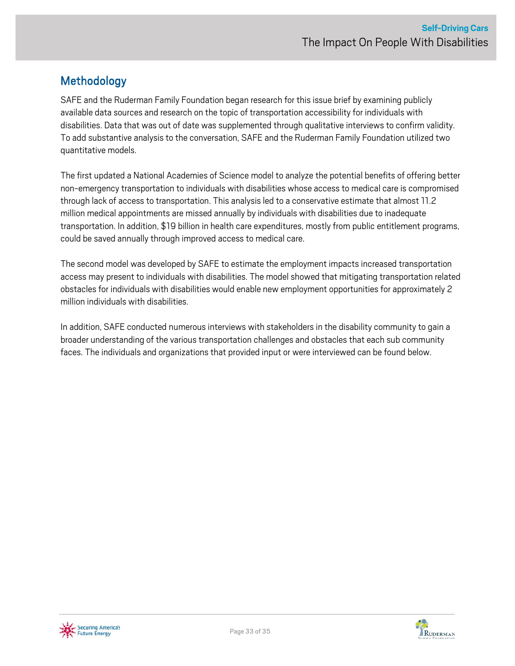# <span id="page-32-0"></span>Methodology

SAFE and the Ruderman Family Foundation began research for this issue brief by examining publicly available data sources and research on the topic of transportation accessibility for individuals with disabilities. Data that was out of date was supplemented through qualitative interviews to confirm validity. To add substantive analysis to the conversation, SAFE and the Ruderman Family Foundation utilized two quantitative models.

The first updated a National Academies of Science model to analyze the potential benefits of offering better non-emergency transportation to individuals with disabilities whose access to medical care is compromised through lack of access to transportation. This analysis led to a conservative estimate that almost 11.2 million medical appointments are missed annually by individuals with disabilities due to inadequate transportation. In addition, \$19 billion in health care expenditures, mostly from public entitlement programs, could be saved annually through improved access to medical care.

The second model was developed by SAFE to estimate the employment impacts increased transportation access may present to individuals with disabilities. The model showed that mitigating transportation related obstacles for individuals with disabilities would enable new employment opportunities for approximately 2 million individuals with disabilities.

In addition, SAFE conducted numerous interviews with stakeholders in the disability community to gain a broader understanding of the various transportation challenges and obstacles that each sub community faces. The individuals and organizations that provided input or were interviewed can be found below.



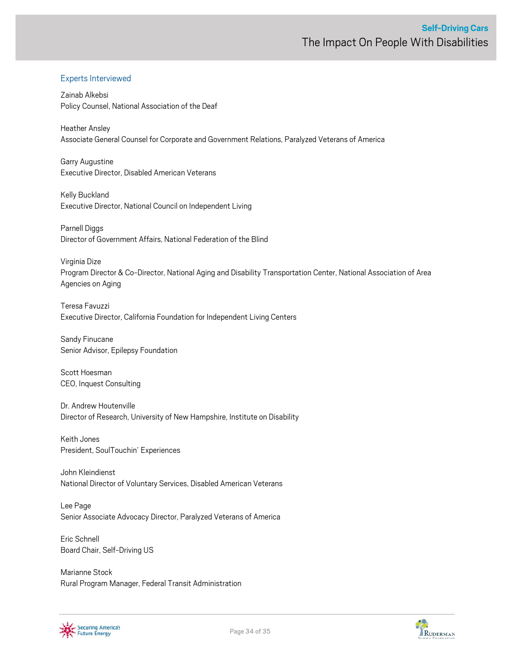#### Experts Interviewed

Zainab Alkebsi Policy Counsel, National Association of the Deaf

Heather Ansley Associate General Counsel for Corporate and Government Relations, Paralyzed Veterans of America

Garry Augustine Executive Director, Disabled American Veterans

Kelly Buckland Executive Director, National Council on Independent Living

Parnell Diggs Director of Government Affairs, National Federation of the Blind

Virginia Dize Program Director & Co-Director, National Aging and Disability Transportation Center, National Association of Area Agencies on Aging

Teresa Favuzzi Executive Director, California Foundation for Independent Living Centers

Sandy Finucane Senior Advisor, Epilepsy Foundation

Scott Hoesman CEO, Inquest Consulting

Dr. Andrew Houtenville Director of Research, University of New Hampshire, Institute on Disability

Keith Jones President, SoulTouchin' Experiences

John Kleindienst National Director of Voluntary Services, Disabled American Veterans

Lee Page Senior Associate Advocacy Director, Paralyzed Veterans of America

Eric Schnell Board Chair, Self-Driving US

Marianne Stock Rural Program Manager, Federal Transit Administration